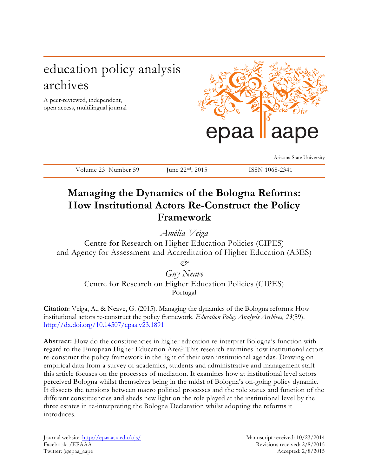## education policy analysis archives

A peer-reviewed, independent, open access, multilingual journal



Arizona State University

Volume 23 Number 59 June 22<sup>nd</sup>, 2015 ISSN 1068-2341

## **Managing the Dynamics of the Bologna Reforms: How Institutional Actors Re-Construct the Policy Framework**

*Amélia Veiga*

Centre for Research on Higher Education Policies (CIPES) and Agency for Assessment and Accreditation of Higher Education (A3ES) *&*

> *Guy Neave* Centre for Research on Higher Education Policies (CIPES) Portugal

**Citation**: Veiga, A., & Neave, G. (2015). Managing the dynamics of the Bologna reforms: How institutional actors re-construct the policy framework. *Education Policy Analysis Archives, 23*(59). http://dx.doi.org/10.14507/epaa.v23.1891

**Abstract:** How do the constituencies in higher education re-interpret Bologna's function with regard to the European Higher Education Area? This research examines how institutional actors re-construct the policy framework in the light of their own institutional agendas. Drawing on empirical data from a survey of academics, students and administrative and management staff this article focuses on the processes of mediation. It examines how at institutional level actors perceived Bologna whilst themselves being in the midst of Bologna's on-going policy dynamic. It dissects the tensions between macro political processes and the role status and function of the different constituencies and sheds new light on the role played at the institutional level by the three estates in re-interpreting the Bologna Declaration whilst adopting the reforms it introduces.

Journal website: http://epaa.asu.edu/ojs/ Manuscript received: 10/23/2014 Facebook: /EPAAA Revisions received: 2/8/2015 Twitter: @epaa\_aape Accepted: 2/8/2015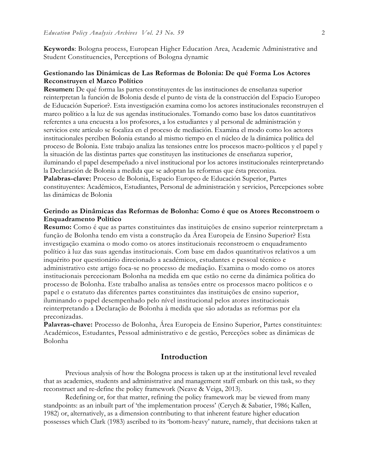**Keywords**: Bologna process, European Higher Education Area, Academic Administrative and Student Constituencies, Perceptions of Bologna dynamic

#### **Gestionando las Dinámicas de Las Reformas de Bolonia: De qué Forma Los Actores Reconstruyen el Marco Político**

**Resumen:** De qué forma las partes constituyentes de las instituciones de enseñanza superior reinterpretan la función de Bolonia desde el punto de vista de la construcción del Espacio Europeo de Educación Superior?. Esta investigación examina como los actores institucionales reconstruyen el marco político a la luz de sus agendas institucionales. Tomando como base los datos cuantitativos referentes a una encuesta a los profesores, a los estudiantes y al personal de administración y servicios este artículo se focaliza en el proceso de mediación. Examina el modo como los actores institucionales perciben Bolonia estando al mismo tiempo en el núcleo de la dinámica política del proceso de Bolonia. Este trabajo analiza las tensiones entre los procesos macro-políticos y el papel y la situación de las distintas partes que constituyen las instituciones de enseñanza superior, iluminando el papel desempeñado a nivel institucional por los actores institucionales reinterpretando la Declaración de Bolonia a medida que se adoptan las reformas que ésta preconiza. **Palabras-clave:** Proceso de Bolonia, Espacio Europeo de Educación Superior, Partes

constituyentes: Académicos, Estudiantes, Personal de administración y servicios, Percepciones sobre las dinámicas de Bolonia

#### **Gerindo as Dinâmicas das Reformas de Bolonha: Como é que os Atores Reconstroem o Enquadramento Político**

**Resumo:** Como é que as partes constituintes das instituições de ensino superior reinterpretam a função de Bolonha tendo em vista a construção da Área Europeia de Ensino Superior? Esta investigação examina o modo como os atores institucionais reconstroem o enquadramento político à luz das suas agendas institucionais. Com base em dados quantitativos relativos a um inquérito por questionário direcionado a académicos, estudantes e pessoal técnico e administrativo este artigo foca-se no processo de mediação. Examina o modo como os atores institucionais percecionam Bolonha na medida em que estão no cerne da dinâmica politica do processo de Bolonha. Este trabalho analisa as tensões entre os processos macro políticos e o papel e o estatuto das diferentes partes constituintes das instituições de ensino superior, iluminando o papel desempenhado pelo nível institucional pelos atores institucionais reinterpretando a Declaração de Bolonha à medida que são adotadas as reformas por ela preconizadas.

**Palavras-chave:** Processo de Bolonha, Área Europeia de Ensino Superior, Partes constituintes: Académicos, Estudantes, Pessoal administrativo e de gestão, Perceções sobre as dinâmicas de Bolonha

## **Introduction**

Previous analysis of how the Bologna process is taken up at the institutional level revealed that as academics, students and administrative and management staff embark on this task, so they reconstruct and re-define the policy framework (Neave & Veiga, 2013).

Redefining or, for that matter, refining the policy framework may be viewed from many standpoints: as an inbuilt part of 'the implementation process' (Cerych & Sabatier, 1986; Kallen, 1982) or, alternatively, as a dimension contributing to that inherent feature higher education possesses which Clark (1983) ascribed to its 'bottom-heavy' nature, namely, that decisions taken at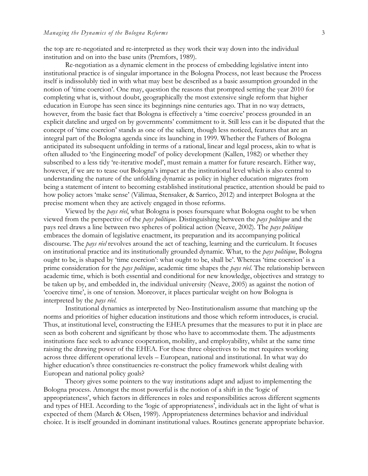the top are re-negotiated and re-interpreted as they work their way down into the individual institution and on into the base units (Premfors, 1989).

Re-negotiation as a dynamic element in the process of embedding legislative intent into institutional practice is of singular importance in the Bologna Process, not least because the Process itself is indissolubly tied in with what may best be described as a basic assumption grounded in the notion of 'time coercion'. One may, question the reasons that prompted setting the year 2010 for completing what is, without doubt, geographically the most extensive single reform that higher education in Europe has seen since its beginnings nine centuries ago. That in no way detracts, however, from the basic fact that Bologna is effectively a 'time coercive' process grounded in an explicit dateline and urged on by governments' commitment to it. Still less can it be disputed that the concept of 'time coercion' stands as one of the salient, though less noticed, features that are an integral part of the Bologna agenda since its launching in 1999. Whether the Fathers of Bologna anticipated its subsequent unfolding in terms of a rational, linear and legal process, akin to what is often alluded to 'the Engineering model' of policy development (Kallen, 1982) or whether they subscribed to a less tidy 're-iterative model', must remain a matter for future research. Either way, however, if we are to tease out Bologna's impact at the institutional level which is also central to understanding the nature of the unfolding dynamic as policy in higher education migrates from being a statement of intent to becoming established institutional practice, attention should be paid to how policy actors 'make sense' (Välimaa, Stensaker, & Sarrico, 2012) and interpret Bologna at the precise moment when they are actively engaged in those reforms.

Viewed by the *pays réel*, what Bologna is poses foursquare what Bologna ought to be when viewed from the perspective of the *pays politique*. Distinguishing between the *pays politique* and the pays reel draws a line between two spheres of political action (Neave, 2002). The *pays politique* embraces the domain of legislative enactment, its preparation and its accompanying political discourse. The *pays réel* revolves around the act of teaching, learning and the curriculum. It focuses on institutional practice and its institutionally grounded dynamic. What, to the *pays politique*, Bologna ought to be, is shaped by 'time coercion': what ought to be, shall be'. Whereas 'time coercion' is a prime consideration for the *pays politique*, academic time shapes the *pays réel*. The relationship between academic time, which is both essential and conditional for new knowledge, objectives and strategy to be taken up by, and embedded in, the individual university (Neave, 2005) as against the notion of 'coercive time', is one of tension. Moreover, it places particular weight on how Bologna is interpreted by the *pays réel*.

Institutional dynamics as interpreted by Neo-Institutionalism assume that matching up the norms and priorities of higher education institutions and those which reform introduces, is crucial. Thus, at institutional level, constructing the EHEA presumes that the measures to put it in place are seen as both coherent and significant by those who have to accommodate them. The adjustments institutions face seek to advance cooperation, mobility, and employability, whilst at the same time raising the drawing power of the EHEA. For these three objectives to be met requires working across three different operational levels – European, national and institutional. In what way do higher education's three constituencies re-construct the policy framework whilst dealing with European and national policy goals?

Theory gives some pointers to the way institutions adapt and adjust to implementing the Bologna process. Amongst the most powerful is the notion of a shift in the 'logic of appropriateness', which factors in differences in roles and responsibilities across different segments and types of HEI. According to the 'logic of appropriateness', individuals act in the light of what is expected of them (March & Olsen, 1989). Appropriateness determines behavior and individual choice. It is itself grounded in dominant institutional values. Routines generate appropriate behavior.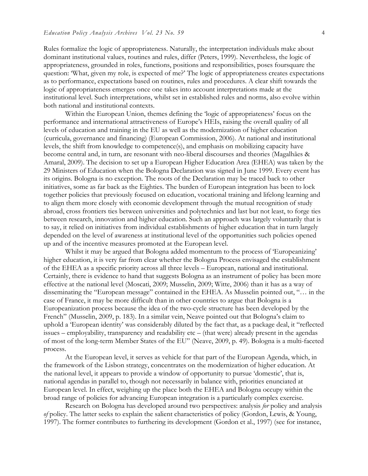Rules formalize the logic of appropriateness. Naturally, the interpretation individuals make about dominant institutional values, routines and rules, differ (Peters, 1999). Nevertheless, the logic of appropriateness, grounded in roles, functions, positions and responsibilities, poses foursquare the question: 'What, given my role, is expected of me?' The logic of appropriateness creates expectations as to performance, expectations based on routines, rules and procedures. A clear shift towards the logic of appropriateness emerges once one takes into account interpretations made at the institutional level. Such interpretations, whilst set in established rules and norms, also evolve within both national and institutional contexts.

Within the European Union, themes defining the 'logic of appropriateness' focus on the performance and international attractiveness of Europe's HEIs, raising the overall quality of all levels of education and training in the EU as well as the modernization of higher education (curricula, governance and financing) (European Commission, 2006). At national and institutional levels, the shift from knowledge to competence(s), and emphasis on mobilizing capacity have become central and, in turn, are resonant with neo-liberal discourses and theories (Magalhães & Amaral, 2009). The decision to set up a European Higher Education Area (EHEA) was taken by the 29 Ministers of Education when the Bologna Declaration was signed in June 1999. Every event has its origins. Bologna is no exception. The roots of the Declaration may be traced back to other initiatives, some as far back as the Eighties. The burden of European integration has been to lock together policies that previously focused on education, vocational training and lifelong learning and to align them more closely with economic development through the mutual recognition of study abroad, cross frontiers ties between universities and polytechnics and last but not least, to forge ties between research, innovation and higher education. Such an approach was largely voluntarily that is to say, it relied on initiatives from individual establishments of higher education that in turn largely depended on the level of awareness at institutional level of the opportunities such policies opened up and of the incentive measures promoted at the European level.

Whilst it may be argued that Bologna added momentum to the process of 'Europeanizing' higher education, it is very far from clear whether the Bologna Process envisaged the establishment of the EHEA as a specific priority across all three levels – European, national and institutional. Certainly, there is evidence to hand that suggests Bologna as an instrument of policy has been more effective at the national level (Moscati, 2009; Musselin, 2009; Witte, 2006) than it has as a way of disseminating the "European message" contained in the EHEA. As Musselin pointed out, "… in the case of France, it may be more difficult than in other countries to argue that Bologna is a Europeanization process because the idea of the two-cycle structure has been developed by the French" (Musselin, 2009, p. 183). In a similar vein, Neave pointed out that Bologna's claim to uphold a 'European identity' was considerably diluted by the fact that, as a package deal, it "reflected issues – employability, transparency and readability etc – (that were) already present in the agendas of most of the long-term Member States of the EU" (Neave, 2009, p. 49). Bologna is a multi-faceted process.

At the European level, it serves as vehicle for that part of the European Agenda, which, in the framework of the Lisbon strategy, concentrates on the modernization of higher education. At the national level, it appears to provide a window of opportunity to pursue 'domestic', that is, national agendas in parallel to, though not necessarily in balance with, priorities enunciated at European level. In effect, weighing up the place both the EHEA and Bologna occupy within the broad range of policies for advancing European integration is a particularly complex exercise.

Research on Bologna has developed around two perspectives: analysis *for* policy and analysis *of* policy. The latter seeks to explain the salient characteristics of policy (Gordon, Lewis, & Young, 1997). The former contributes to furthering its development (Gordon et al., 1997) (see for instance,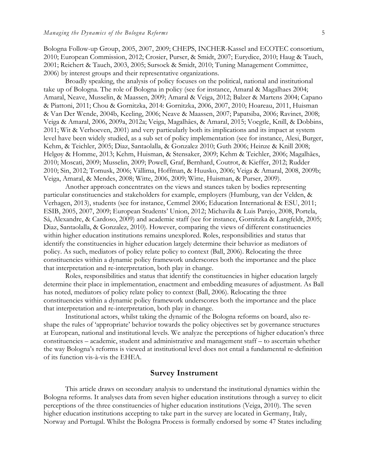Bologna Follow-up Group, 2005, 2007, 2009; CHEPS, INCHER-Kassel and ECOTEC consortium, 2010; European Commission, 2012; Crosier, Purser, & Smidt, 2007; Eurydice, 2010; Haug & Tauch, 2001; Reichert & Tauch, 2003, 2005; Sursock & Smidt, 2010; Tuning Management Committee, 2006) by interest groups and their representative organizations.

Broadly speaking, the analysis of policy focuses on the political, national and institutional take up of Bologna. The role of Bologna in policy (see for instance, Amaral & Magalhaes 2004; Amaral, Neave, Musselin, & Maassen, 2009; Amaral & Veiga, 2012; Balzer & Martens 2004; Capano & Piattoni, 2011; Chou & Gornitzka, 2014: Gornitzka, 2006, 2007, 2010; Hoareau, 2011, Huisman & Van Der Wende, 2004b, Keeling, 2006; Neave & Maassen, 2007; Papatsiba, 2006; Ravinet, 2008; Veiga & Amaral, 2006, 2009a, 2012a; Veiga, Magalhães, & Amaral, 2015; Voegtle, Knill, & Dobbins, 2011; Wit & Verhoeven, 2001) and very particularly both its implications and its impact at system level have been widely studied, as a sub set of policy implementation (see for instance, Alesi, Burger, Kehm, & Teichler, 2005; Diaz, Santaolalla, & Gonzalez 2010; Guth 2006; Heinze & Knill 2008; Helgøy & Homme, 2013; Kehm, Huisman, & Stensaker, 2009; Kehm & Teichler, 2006; Magalhães, 2010; Moscati, 2009; Musselin, 2009; Powell, Graf, Bernhard, Coutrot, & Kieffer, 2012; Rudder 2010; Sin, 2012; Tomusk, 2006; Vällima, Hoffman, & Huusko, 2006; Veiga & Amaral, 2008, 2009b; Veiga, Amaral, & Mendes, 2008; Witte, 2006, 2009; Witte, Huisman, & Purser, 2009).

Another approach concentrates on the views and stances taken by bodies representing particular constituencies and stakeholders for example, employers (Humburg, van der Velden, & Verhagen, 2013), students (see for instance, Cemmel 2006; Education International & ESU, 2011; ESIB, 2005, 2007, 2009; European Students' Union, 2012; Michavila & Luis Parejo, 2008, Portela, Sá, Alexandre, & Cardoso, 2009) and academic staff (see for instance, Gornitzka & Langfeldt, 2005; Diaz, Santaolalla, & Gonzalez, 2010). However, comparing the views of different constituencies within higher education institutions remains unexplored. Roles, responsibilities and status that identify the constituencies in higher education largely determine their behavior as mediators of policy. As such, mediators of policy relate policy to context (Ball, 2006). Relocating the three constituencies within a dynamic policy framework underscores both the importance and the place that interpretation and re-interpretation, both play in change.

Roles, responsibilities and status that identify the constituencies in higher education largely determine their place in implementation, enactment and embedding measures of adjustment. As Ball has noted, mediators of policy relate policy to context (Ball, 2006). Relocating the three constituencies within a dynamic policy framework underscores both the importance and the place that interpretation and re-interpretation, both play in change.

Institutional actors, whilst taking the dynamic of the Bologna reforms on board, also reshape the rules of 'appropriate' behavior towards the policy objectives set by governance structures at European, national and institutional levels. We analyze the perceptions of higher education's three constituencies – academic, student and administrative and management staff – to ascertain whether the way Bologna's reforms is viewed at institutional level does not entail a fundamental re-definition of its function vis-à-vis the EHEA.

#### **Survey Instrument**

This article draws on secondary analysis to understand the institutional dynamics within the Bologna reforms. It analyses data from seven higher education institutions through a survey to elicit perceptions of the three constituencies of higher education institutions (Veiga, 2010). The seven higher education institutions accepting to take part in the survey are located in Germany, Italy, Norway and Portugal. Whilst the Bologna Process is formally endorsed by some 47 States including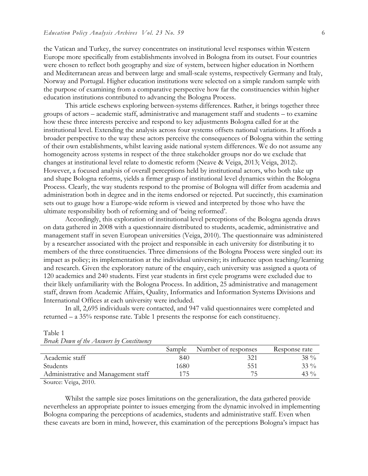the Vatican and Turkey, the survey concentrates on institutional level responses within Western Europe more specifically from establishments involved in Bologna from its outset. Four countries were chosen to reflect both geography and size of system, between higher education in Northern and Mediterranean areas and between large and small-scale systems, respectively Germany and Italy, Norway and Portugal. Higher education institutions were selected on a simple random sample with the purpose of examining from a comparative perspective how far the constituencies within higher education institutions contributed to advancing the Bologna Process.

This article eschews exploring between-systems differences. Rather, it brings together three groups of actors – academic staff, administrative and management staff and students – to examine how these three interests perceive and respond to key adjustments Bologna called for at the institutional level. Extending the analysis across four systems offsets national variations. It affords a broader perspective to the way these actors perceive the consequences of Bologna within the setting of their own establishments, whilst leaving aside national system differences. We do not assume any homogeneity across systems in respect of the three stakeholder groups nor do we exclude that changes at institutional level relate to domestic reform (Neave & Veiga, 2013; Veiga, 2012). However, a focused analysis of overall perceptions held by institutional actors, who both take up and shape Bologna reforms, yields a firmer grasp of institutional level dynamics within the Bologna Process. Clearly, the way students respond to the promise of Bologna will differ from academia and administration both in degree and in the items endorsed or rejected. Put succinctly, this examination sets out to gauge how a Europe-wide reform is viewed and interpreted by those who have the ultimate responsibility both of reforming and of 'being reformed'.

Accordingly, this exploration of institutional level perceptions of the Bologna agenda draws on data gathered in 2008 with a questionnaire distributed to students, academic, administrative and management staff in seven European universities (Veiga, 2010). The questionnaire was administered by a researcher associated with the project and responsible in each university for distributing it to members of the three constituencies. Three dimensions of the Bologna Process were singled out: its impact as policy; its implementation at the individual university; its influence upon teaching/learning and research. Given the exploratory nature of the enquiry, each university was assigned a quota of 120 academics and 240 students. First year students in first cycle programs were excluded due to their likely unfamiliarity with the Bologna Process. In addition, 25 administrative and management staff, drawn from Academic Affairs, Quality, Informatics and Information Systems Divisions and International Offices at each university were included.

In all, 2,695 individuals were contacted, and 947 valid questionnaires were completed and returned – a 35% response rate. Table 1 presents the response for each constituency.

| .<br>-------------                  |         |                     |               |
|-------------------------------------|---------|---------------------|---------------|
|                                     | Sample: | Number of responses | Response rate |
| Academic staff                      | 840     |                     | $38\%$        |
| <b>Students</b>                     | 1680    | 551                 | $33\%$        |
| Administrative and Management staff |         |                     | $43\%$        |
|                                     |         |                     |               |

#### Table 1 *Break Down of the Answers by Constituency*

Source: Veiga, 2010.

Whilst the sample size poses limitations on the generalization, the data gathered provide nevertheless an appropriate pointer to issues emerging from the dynamic involved in implementing Bologna comparing the perceptions of academics, students and administrative staff. Even when these caveats are born in mind, however, this examination of the perceptions Bologna's impact has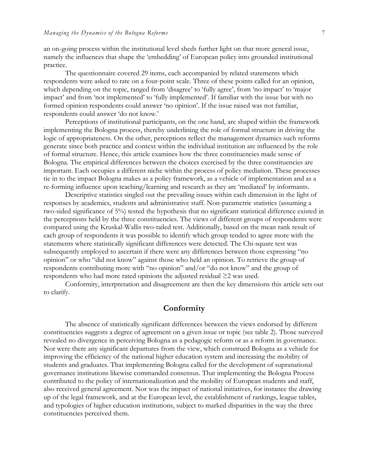an on-going process within the institutional level sheds further light on that more general issue, namely the influences that shape the 'embedding' of European policy into grounded institutional practice.

The questionnaire covered 29 items, each accompanied by related statements which respondents were asked to rate on a four-point scale. Three of these points called for an opinion, which depending on the topic, ranged from 'disagree' to 'fully agree', from 'no impact' to 'major impact' and from 'not implemented' to 'fully implemented'. If familiar with the issue but with no formed opinion respondents could answer 'no opinion'. If the issue raised was not familiar, respondents could answer 'do not know.'

Perceptions of institutional participants, on the one hand, are shaped within the framework implementing the Bologna process, thereby underlining the role of formal structure in driving the logic of appropriateness. On the other, perceptions reflect the management dynamics such reforms generate since both practice and context within the individual institution are influenced by the role of formal structure. Hence, this article examines how the three constituencies made sense of Bologna. The empirical differences between the choices exercised by the three constituencies are important. Each occupies a different niche within the process of policy mediation. These processes tie in to the impact Bologna makes as a policy framework, as a vehicle of implementation and as a re-forming influence upon teaching/learning and research as they are 'mediated' by informants.

Descriptive statistics singled out the prevailing issues within each dimension in the light of responses by academics, students and administrative staff. Non-parametric statistics (assuming a two-sided significance of 5%) tested the hypothesis that no significant statistical difference existed in the perceptions held by the three constituencies. The views of different groups of respondents were compared using the Kruskal-Wallis two-tailed test. Additionally, based on the mean rank result of each group of respondents it was possible to identify which group tended to agree more with the statements where statistically significant differences were detected. The Chi-square test was subsequently employed to ascertain if there were any differences between those expressing "no opinion" or who "did not know" against those who held an opinion. To retrieve the group of respondents contributing more with "no opinion" and/or "do not know" and the group of respondents who had more rated opinions the adjusted residual ≥2 was used.

Conformity, interpretation and disagreement are then the key dimensions this article sets out to clarify.

### **Conformity**

The absence of statistically significant differences between the views endorsed by different constituencies suggests a degree of agreement on a given issue or topic (see table 2). Those surveyed revealed no divergence in perceiving Bologna as a pedagogic reform or as a reform in governance. Nor were there any significant departures from the view, which construed Bologna as a vehicle for improving the efficiency of the national higher education system and increasing the mobility of students and graduates. That implementing Bologna called for the development of supranational governance institutions likewise commanded consensus. That implementing the Bologna Process contributed to the policy of internationalization and the mobility of European students and staff, also received general agreement. Nor was the impact of national initiatives, for instance the drawing up of the legal framework, and at the European level, the establishment of rankings, league tables, and typologies of higher education institutions, subject to marked disparities in the way the three constituencies perceived them.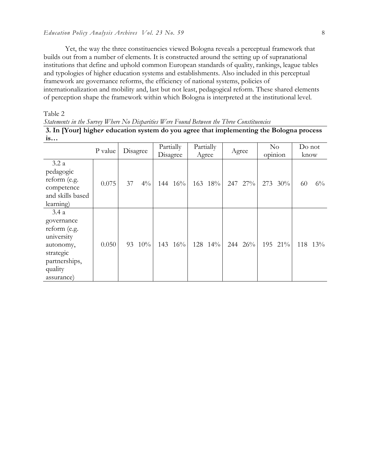Yet, the way the three constituencies viewed Bologna reveals a perceptual framework that builds out from a number of elements. It is constructed around the setting up of supranational institutions that define and uphold common European standards of quality, rankings, league tables and typologies of higher education systems and establishments. Also included in this perceptual framework are governance reforms, the efficiency of national systems, policies of internationalization and mobility and, last but not least, pedagogical reform. These shared elements of perception shape the framework within which Bologna is interpreted at the institutional level.

#### Table 2

*Statements in the Survey Where No Disparities Were Found Between the Three Constituencies*

**3. In [Your] highe***r* **education system do you agree that implementing the Bologna process is…**

|                                                                                                                      | P value |    | Disagree |     | Partially<br>Disagree |     | Partially<br>Agree |     | Agree |     | $\rm No$<br>opinion |     | Do not<br>know |  |
|----------------------------------------------------------------------------------------------------------------------|---------|----|----------|-----|-----------------------|-----|--------------------|-----|-------|-----|---------------------|-----|----------------|--|
| 3.2a<br>pedagogic<br>reform (e.g.<br>competence<br>and skills based<br>learning)                                     | 0.075   | 37 | $4\%$    | 144 | 16%                   | 163 | 18%                | 247 | 27%   | 273 | 30%                 | 60  | $6\%$          |  |
| 3.4a<br>governance<br>reform (e.g.<br>university<br>autonomy,<br>strategic<br>partnerships,<br>quality<br>assurance) | 0.050   | 93 | 10%      | 143 | 16%                   |     | 128 14%            | 244 | 26%   |     | 195 21%             | 118 | $13\%$         |  |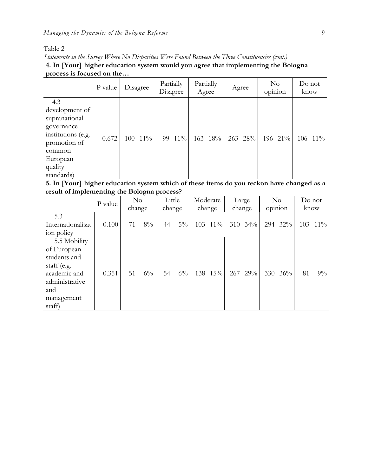*Statements in the Survey Where No Disparities Were Found Between the Three Constituencies (cont.)*

**4. In [Your]****higher education system would you agree that implementing the Bologna process is focused on the…**

|                                                                                                                                           | P value | Disagree | Partially<br>Disagree | Partially<br>Agree | Agree   | $\rm No$<br>opinion | Do not<br>know |  |
|-------------------------------------------------------------------------------------------------------------------------------------------|---------|----------|-----------------------|--------------------|---------|---------------------|----------------|--|
| 4.3<br>development of<br>supranational<br>governance<br>institutions (e.g.<br>promotion of<br>common<br>European<br>quality<br>standards) | 0.672   | 100 11%  | 99 11%                | 163 18%            | 263 28% | 196 21%             | $106 \t11\%$   |  |

**5. In [Your]****higher education system which of these items do you reckon have changed as a result of implementing the Bologna process?**

|                   | P value | $\rm No$ |       |        | Little |        | Moderate |        | Large                |         | No      | Do not |        |  |
|-------------------|---------|----------|-------|--------|--------|--------|----------|--------|----------------------|---------|---------|--------|--------|--|
|                   |         | change   |       | change |        | change |          | change |                      | opinion |         |        | know   |  |
| 5.3               |         |          |       |        |        |        |          |        |                      |         |         |        |        |  |
| Internationalisat | 0.100   | 71       | $8\%$ | 44     | $5\%$  | 103    | $11\%$   |        | $310 \frac{34\%}{6}$ |         | 294 32% | 103    | $11\%$ |  |
| ion policy        |         |          |       |        |        |        |          |        |                      |         |         |        |        |  |
| 5.5 Mobility      |         |          |       |        |        |        |          |        |                      |         |         |        |        |  |
| of European       |         |          |       |        |        |        |          |        |                      |         |         |        |        |  |
| students and      |         |          |       |        |        |        |          |        |                      |         |         |        |        |  |
| staff (e.g.       |         |          |       |        |        |        |          |        |                      |         |         |        |        |  |
| academic and      | 0.351   | 51       | $6\%$ | 54     | $6\%$  |        | 138 15%  | 267    | 29%                  |         | 330 36% | 81     | $9\%$  |  |
| administrative    |         |          |       |        |        |        |          |        |                      |         |         |        |        |  |
| and               |         |          |       |        |        |        |          |        |                      |         |         |        |        |  |
| management        |         |          |       |        |        |        |          |        |                      |         |         |        |        |  |
| staff)            |         |          |       |        |        |        |          |        |                      |         |         |        |        |  |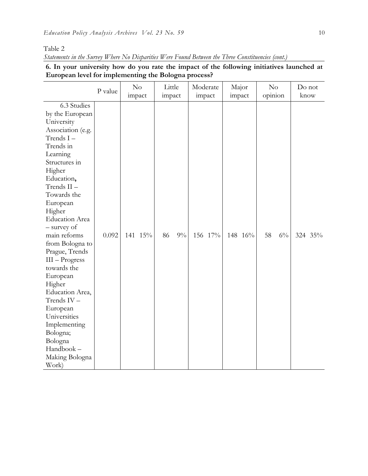*Statements in the Survey Where No Disparities Were Found Between the Three Constituencies (cont.)*

| 6. In your university how do you rate the impact of the following initiatives launched at |  |  |
|-------------------------------------------------------------------------------------------|--|--|
| European level for implementing the Bologna process?                                      |  |  |

|                               | P value | No<br>impact | Little<br>impact | Moderate<br>impact | Major<br>impact | No<br>opinion | Do not<br>know |  |
|-------------------------------|---------|--------------|------------------|--------------------|-----------------|---------------|----------------|--|
| 6.3 Studies                   |         |              |                  |                    |                 |               |                |  |
| by the European               |         |              |                  |                    |                 |               |                |  |
| University                    |         |              |                  |                    |                 |               |                |  |
| Association (e.g.             |         |              |                  |                    |                 |               |                |  |
| Trends I-                     |         |              |                  |                    |                 |               |                |  |
| Trends in                     |         |              |                  |                    |                 |               |                |  |
| Learning                      |         |              |                  |                    |                 |               |                |  |
| Structures in                 |         |              |                  |                    |                 |               |                |  |
| Higher                        |         |              |                  |                    |                 |               |                |  |
| Education,                    |         |              |                  |                    |                 |               |                |  |
| Trends II-                    |         |              |                  |                    |                 |               |                |  |
| Towards the                   |         |              |                  |                    |                 |               |                |  |
| European                      |         |              |                  |                    |                 |               |                |  |
| Higher                        |         |              |                  |                    |                 |               |                |  |
| Education Area                |         |              |                  |                    |                 |               |                |  |
| - survey of                   |         |              |                  |                    |                 |               |                |  |
| main reforms                  | 0.092   | 141 15%      | $9\%$<br>86      | 156 17%            | 148 16%         | $6\%$<br>58   | 324 35%        |  |
| from Bologna to               |         |              |                  |                    |                 |               |                |  |
| Prague, Trends                |         |              |                  |                    |                 |               |                |  |
| $III - Progress$              |         |              |                  |                    |                 |               |                |  |
| towards the                   |         |              |                  |                    |                 |               |                |  |
| European                      |         |              |                  |                    |                 |               |                |  |
| Higher                        |         |              |                  |                    |                 |               |                |  |
| Education Area,<br>Trends IV- |         |              |                  |                    |                 |               |                |  |
| European                      |         |              |                  |                    |                 |               |                |  |
| Universities                  |         |              |                  |                    |                 |               |                |  |
| Implementing                  |         |              |                  |                    |                 |               |                |  |
| Bologna;                      |         |              |                  |                    |                 |               |                |  |
| Bologna                       |         |              |                  |                    |                 |               |                |  |
| Handbook-                     |         |              |                  |                    |                 |               |                |  |
| Making Bologna                |         |              |                  |                    |                 |               |                |  |
| Work)                         |         |              |                  |                    |                 |               |                |  |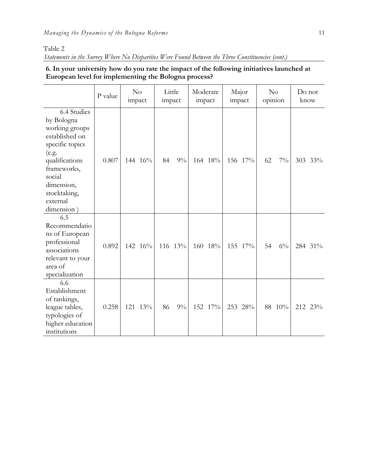## *Statements in the Survey Where No Disparities Were Found Between the Three Constituencies (cont.)*

## **6. In your****university how do you rate the impact of the following initiatives launched at European level for implementing the Bologna process?**

|                                                                                                                                                                                              | P value | No<br>impact | Little<br>impact | Moderate<br>impact | Major<br>impact | No<br>opinion | Do not<br>know |  |
|----------------------------------------------------------------------------------------------------------------------------------------------------------------------------------------------|---------|--------------|------------------|--------------------|-----------------|---------------|----------------|--|
| 6.4 Studies<br>by Bologna<br>working groups<br>established on<br>specific topics<br>(e.g.<br>qualifications<br>frameworks,<br>social<br>dimension,<br>stocktaking,<br>external<br>dimension) | 0.807   | 144 16%      | 84<br>9%         | 164 18%            | 156 17%         | 62<br>$7\%$   | 303<br>33%     |  |
| 6.5<br>Recommendatio<br>ns of European<br>professional<br>associations<br>relevant to your<br>area of<br>specialization                                                                      | 0.892   | 142<br>16%   | 116 13%          | 160<br>18%         | 155 17%         | 54<br>$6\%$   | 284 31%        |  |
| 6.6<br>Establishment<br>of rankings,<br>league tables,<br>typologies of<br>higher education<br>institutions                                                                                  | 0.258   | 13%<br>121   | 9%<br>86         | 152 17%            | 253<br>28%      | 88<br>10%     | 212<br>23%     |  |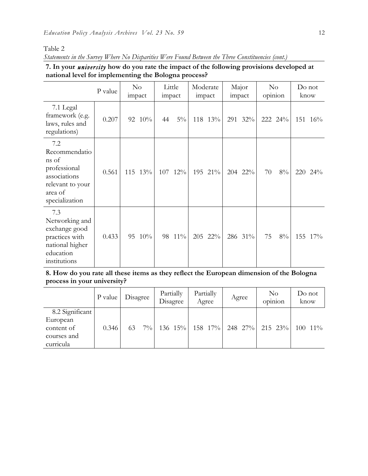*Statements in the Survey Where No Disparities Were Found Between the Three Constituencies (cont.)*

|                                                                                                                | P value | $\rm No$<br>impact | Little<br>impact | Moderate<br>impact | Major<br>impact | N <sub>o</sub><br>opinion | Do not<br>know |
|----------------------------------------------------------------------------------------------------------------|---------|--------------------|------------------|--------------------|-----------------|---------------------------|----------------|
| 7.1 Legal<br>framework (e.g.<br>laws, rules and<br>regulations)                                                | 0.207   | 10%<br>92          | $5\%$<br>44      | 118 13%            | $32\%$<br>291   | 222 24%                   | 151<br>16%     |
| 7.2<br>Recommendatio<br>ns of<br>professional<br>associations<br>relevant to your<br>area of<br>specialization | 0.561   | 115 13%            | 107 12%          | 195 21%            | 204 22%         | $8\%$<br>70               | 220 24%        |
| 7.3<br>Networking and<br>exchange good<br>practices with<br>national higher<br>education<br>institutions       | 0.433   | 95<br>10%          | 98<br>$11\%$     | 205 22%            | 286 31%         | 75<br>$8\%$               | 155 17%        |

**7. In your** *university* **how do you rate the impact of the following provisions developed at national level for implementing the Bologna process?**

### **8. How do you rate all these items as they reflect the European dimension of the Bologna process in your university?**

|                                                                       | P value | Disagree    | Partially<br>Disagree | Partially<br>Agree | Agree                           | $\rm No$<br>opinion | Do not<br>know |  |
|-----------------------------------------------------------------------|---------|-------------|-----------------------|--------------------|---------------------------------|---------------------|----------------|--|
| 8.2 Significant<br>European<br>content of<br>courses and<br>curricula | 0.346   | $7\%$<br>63 |                       |                    | 136 15% 158 17% 248 27% 215 23% |                     | $100 \t11\%$   |  |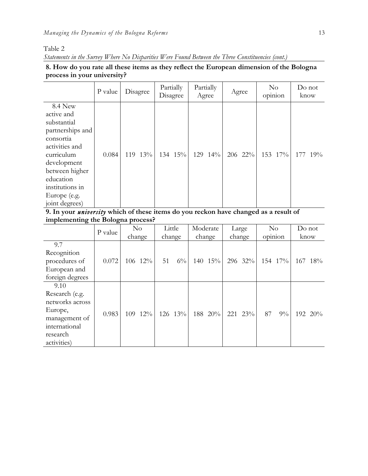*Statements in the Survey Where No Disparities Were Found Between the Three Constituencies (cont.)*

**8. How do you rate all these items as they reflect the European dimension of the Bologna process in your university?**

|                                                                                                                                                                                                          | P value | Disagree   | Partially<br>Disagree | Partially<br>Agree | Agree         | $\rm No$<br>opinion | Do not<br>know |
|----------------------------------------------------------------------------------------------------------------------------------------------------------------------------------------------------------|---------|------------|-----------------------|--------------------|---------------|---------------------|----------------|
| 8.4 New<br>active and<br>substantial<br>partnerships and<br>consortia<br>activities and<br>curriculum<br>development<br>between higher<br>education<br>institutions in<br>Europe (e.g.<br>joint degrees) | 0.084   | 13%<br>119 | 134 15%               | 129 14%            | $22\%$<br>206 | 153 17%             | 177 19%        |

**9. In your** *university* **which of these items do you reckon have changed as a result of implementing the Bologna process?**

|                 | P value | $\rm No$      | Little      | Moderate | Large      | No          | Do not        |  |
|-----------------|---------|---------------|-------------|----------|------------|-------------|---------------|--|
|                 |         | change        | change      | change   | change     | opinion     | know          |  |
| 9.7             |         |               |             |          |            |             |               |  |
| Recognition     |         |               |             |          |            |             |               |  |
| procedures of   | 0.072   | 106 12%       | $6\%$<br>51 | 140 15%  | 296 32%    | 154 17%     | 167<br>$18\%$ |  |
| European and    |         |               |             |          |            |             |               |  |
| foreign degrees |         |               |             |          |            |             |               |  |
| 9.10            |         |               |             |          |            |             |               |  |
| Research (e.g.  |         |               |             |          |            |             |               |  |
| networks across |         |               |             |          |            |             |               |  |
| Europe,         | 0.983   | $12\%$<br>109 | 126 13%     | 188 20%  | 23%<br>221 | 87<br>$9\%$ | 192 20%       |  |
| management of   |         |               |             |          |            |             |               |  |
| international   |         |               |             |          |            |             |               |  |
| research        |         |               |             |          |            |             |               |  |
| activities)     |         |               |             |          |            |             |               |  |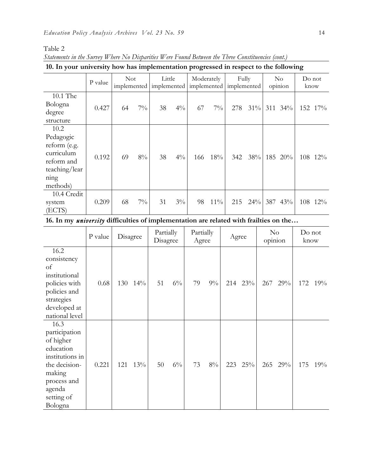|                                                                                                    | 10. In your university how has implementation progressed in respect to the following |    |            |    |                                   |     |                                       |     |       |  |                           |     |                |  |
|----------------------------------------------------------------------------------------------------|--------------------------------------------------------------------------------------|----|------------|----|-----------------------------------|-----|---------------------------------------|-----|-------|--|---------------------------|-----|----------------|--|
|                                                                                                    | P value                                                                              |    | <b>Not</b> |    | Little<br>implemented implemented |     | Moderately<br>implemented implemented |     | Fully |  | N <sub>0</sub><br>opinion |     | Do not<br>know |  |
| 10.1 The<br>Bologna<br>degree<br>structure                                                         | 0.427                                                                                | 64 | $7\%$      | 38 | $4\%$                             | 67  | $7\%$                                 | 278 | 31%   |  | 311 34%                   |     | 152 17%        |  |
| 10.2<br>Pedagogic<br>reform (e.g.<br>curriculum<br>reform and<br>teaching/lear<br>ning<br>methods) | 0.192                                                                                | 69 | $8\%$      | 38 | $4\%$                             | 166 | 18%                                   | 342 | 38%   |  | 185 20%                   | 108 | $12\%$         |  |
| 10.4 Credit<br>system<br>(ECTS)                                                                    | 0.209                                                                                | 68 | $7\%$      | 31 | $3\%$                             | 98  | $11\%$                                | 215 | 24%   |  | 387 43%                   | 108 | $12\%$         |  |

|  | Statements in the Survey Where No Disparities Were Found Between the Three Constituencies (cont.) |  |  |  |  |  |  |  |
|--|---------------------------------------------------------------------------------------------------|--|--|--|--|--|--|--|
|--|---------------------------------------------------------------------------------------------------|--|--|--|--|--|--|--|

**16. In my** *university* **difficulties of implementation are related with frailties on the…**

|                                                                                                                                                 | P value | Disagree   |    | Partially<br>Disagree |    | Partially<br>Agree |     | Agree |     | $\rm No$<br>opinion |     | Do not<br>know |
|-------------------------------------------------------------------------------------------------------------------------------------------------|---------|------------|----|-----------------------|----|--------------------|-----|-------|-----|---------------------|-----|----------------|
| 16.2<br>consistency<br>of<br>institutional<br>policies with<br>policies and<br>strategies<br>developed at<br>national level                     | 0.68    | 14%<br>130 | 51 | $6\%$                 | 79 | $9\%$              | 214 | 23%   | 267 | 29%                 | 172 | 19%            |
| 16.3<br>participation<br>of higher<br>education<br>institutions in<br>the decision-<br>making<br>process and<br>agenda<br>setting of<br>Bologna | 0.221   | 13%<br>121 | 50 | $6\%$                 | 73 | $8\%$              | 223 | 25%   | 265 | 29%                 | 175 | 19%            |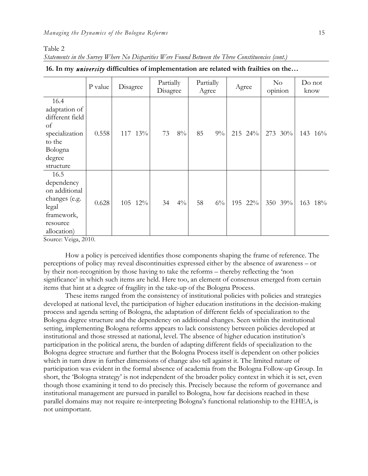| Statements in the Survey Where No Disparities Were Found Between the Three Constituencies (cont.) |  |  |  |  |  |  |  |
|---------------------------------------------------------------------------------------------------|--|--|--|--|--|--|--|
|---------------------------------------------------------------------------------------------------|--|--|--|--|--|--|--|

|                                                                                                              | P value | Disagree | Partially<br>Disagree | Partially<br>Agree | Agree   | $\rm No$<br>opinion | Do not<br>know |
|--------------------------------------------------------------------------------------------------------------|---------|----------|-----------------------|--------------------|---------|---------------------|----------------|
| 16.4<br>adaptation of<br>different field<br>of<br>specialization<br>to the<br>Bologna<br>degree<br>structure | 0.558   | 117 13%  | $8\%$<br>73           | 85<br>$9\%$        | 215 24% | 273 30%             | 143 16%        |
| 16.5<br>dependency<br>on additional<br>changes (e.g.<br>legal<br>framework,<br>resource<br>allocation)       | 0.628   | 105 12%  | $4\%$<br>34           | 58<br>$6\%$        | 195 22% | 350 39%             | 163<br>18%     |

#### **16. In my** *university* **difficulties of implementation are related with frailties on the…**

Source: Veiga, 2010.

How a policy is perceived identifies those components shaping the frame of reference. The perceptions of policy may reveal discontinuities expressed either by the absence of awareness – or by their non-recognition by those having to take the reforms – thereby reflecting the 'non significance' in which such items are held. Here too, an element of consensus emerged from certain items that hint at a degree of fragility in the take-up of the Bologna Process.

These items ranged from the consistency of institutional policies with policies and strategies developed at national level, the participation of higher education institutions in the decision-making process and agenda setting of Bologna, the adaptation of different fields of specialization to the Bologna degree structure and the dependency on additional changes. Seen within the institutional setting, implementing Bologna reforms appears to lack consistency between policies developed at institutional and those stressed at national, level. The absence of higher education institution's participation in the political arena, the burden of adapting different fields of specialization to the Bologna degree structure and further that the Bologna Process itself is dependent on other policies which in turn draw in further dimensions of change also tell against it. The limited nature of participation was evident in the formal absence of academia from the Bologna Follow-up Group. In short, the 'Bologna strategy' is not independent of the broader policy context in which it is set, even though those examining it tend to do precisely this. Precisely because the reform of governance and institutional management are pursued in parallel to Bologna, how far decisions reached in these parallel domains may not require re-interpreting Bologna's functional relationship to the EHEA, is not unimportant.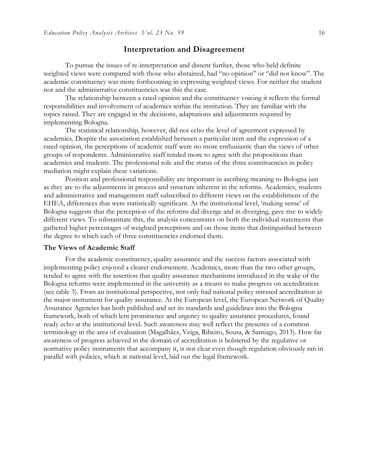## **Interpretation and Disagreement**

To pursue the issues of re-interpretation and dissent further, those who held definite weighted views were compared with those who abstained, had "no opinion" or "did not know". The academic constituency was more forthcoming in expressing weighted views. For neither the student nor and the administrative constituencies was this the case.

The relationship between a rated opinion and the constituency voicing it reflects the formal responsibilities and involvement of academics within the institution. They are familiar with the topics raised. They are engaged in the decisions, adaptations and adjustments required by implementing Bologna.

The statistical relationship, however, did not echo the level of agreement expressed by academics. Despite the association established between a particular item and the expression of a rated opinion, the perceptions of academic staff were no more enthusiastic than the views of other groups of respondents. Administrative staff tended more to agree with the propositions than academics and students. The professional role and the status of the three constituencies in policy mediation might explain these variations.

Position and professional responsibility are important in ascribing meaning to Bologna just as they are to the adjustments in process and structure inherent in the reforms. Academics, students and administrative and management staff subscribed to different views on the establishment of the EHEA, differences that were statistically significant. At the institutional level, 'making sense' of Bologna suggests that the perception of the reforms did diverge and in diverging, gave rise to widely different views. To substantiate this, the analysis concentrates on both the individual statements that gathered higher percentages of weighted perceptions and on those items that distinguished between the degree to which each of three constituencies endorsed them.

#### **The Views of Academic Staff**

For the academic constituency, quality assurance and the success factors associated with implementing policy enjoyed a clearer endorsement. Academics, more than the two other groups, tended to agree with the assertion that quality assurance mechanisms introduced in the wake of the Bologna reforms were implemented in the university as a means to make progress on accreditation (see table 3). From an institutional perspective, not only had national policy stressed accreditation as the major instrument for quality assurance. At the European level, the European Network of Quality Assurance Agencies has both published and set its standards and guidelines into the Bologna framework, both of which lent prominence and urgency to quality assurance procedures, found ready echo at the institutional level. Such awareness may well reflect the presence of a common terminology in the area of evaluation (Magalhães, Veiga, Ribeiro, Sousa, & Santiago, 2013). How far awareness of progress achieved in the domain of accreditation is bolstered by the regulative or normative policy instruments that accompany it, is not clear even though regulation obviously ran in parallel with policies, which at national level, laid out the legal framework.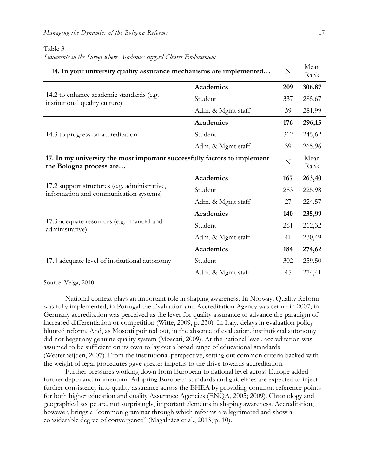| 14. In your university quality assurance mechanisms are implemented                                  |                   | N            | Mean<br>Rank |
|------------------------------------------------------------------------------------------------------|-------------------|--------------|--------------|
|                                                                                                      | Academics         | 209          | 306,87       |
| 14.2 to enhance academic standards (e.g.<br>institutional quality culture)                           | Student           | 337          | 285,67       |
|                                                                                                      | Adm. & Mgmt staff | 39           | 281,99       |
|                                                                                                      | Academics         | 176          | 296,15       |
| 14.3 to progress on accreditation                                                                    | Student           | 312          | 245,62       |
|                                                                                                      | Adm. & Mgmt staff | 39           | 265,96       |
| 17. In my university the most important successfully factors to implement<br>the Bologna process are | N                 | Mean<br>Rank |              |
|                                                                                                      | <b>Academics</b>  | 167          | 263,40       |
| 17.2 support structures (e.g. administrative,<br>information and communication systems)              | Student           | 283          | 225,98       |
|                                                                                                      | Adm. & Mgmt staff | 27           | 224,57       |
|                                                                                                      | <b>Academics</b>  | 140          | 235,99       |
| 17.3 adequate resources (e.g. financial and<br>administrative)                                       | Student           | 261          | 212,32       |
|                                                                                                      | Adm. & Mgmt staff | 41           | 230,49       |
|                                                                                                      | <b>Academics</b>  | 184          | 274,62       |
| 17.4 adequate level of institutional autonomy                                                        | Student           | 302          | 259,50       |
|                                                                                                      | Adm. & Mgmt staff | 45           | 274,41       |

#### Table 3 *Statements in the Survey where Academics enjoyed Clearer Endorsement*

Source: Veiga, 2010.

National context plays an important role in shaping awareness. In Norway, Quality Reform was fully implemented; in Portugal the Evaluation and Accreditation Agency was set up in 2007; in Germany accreditation was perceived as the lever for quality assurance to advance the paradigm of increased differentiation or competition (Witte, 2009, p. 230). In Italy, delays in evaluation policy blunted reform. And, as Moscati pointed out, in the absence of evaluation, institutional autonomy did not beget any genuine quality system (Moscati, 2009). At the national level, accreditation was assumed to be sufficient on its own to lay out a broad range of educational standards (Westerheijden, 2007). From the institutional perspective, setting out common criteria backed with the weight of legal procedures gave greater impetus to the drive towards accreditation.

Further pressures working down from European to national level across Europe added further depth and momentum. Adopting European standards and guidelines are expected to inject further consistency into quality assurance across the EHEA by providing common reference points for both higher education and quality Assurance Agencies (ENQA, 2005; 2009). Chronology and geographical scope are, not surprisingly, important elements in shaping awareness. Accreditation, however, brings a "common grammar through which reforms are legitimated and show a considerable degree of convergence" (Magalhães et al., 2013, p. 10).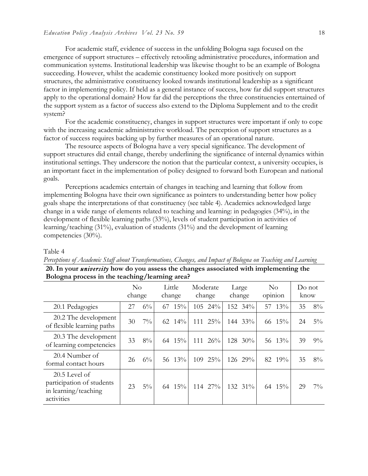For academic staff, evidence of success in the unfolding Bologna saga focused on the emergence of support structures – effectively retooling administrative procedures, information and communication systems. Institutional leadership was likewise thought to be an example of Bologna succeeding. However, whilst the academic constituency looked more positively on support structures, the administrative constituency looked towards institutional leadership as a significant factor in implementing policy. If held as a general instance of success, how far did support structures apply to the operational domain? How far did the perceptions the three constituencies entertained of the support system as a factor of success also extend to the Diploma Supplement and to the credit system?

For the academic constituency, changes in support structures were important if only to cope with the increasing academic administrative workload. The perception of support structures as a factor of success requires backing up by further measures of an operational nature.

The resource aspects of Bologna have a very special significance. The development of support structures did entail change, thereby underlining the significance of internal dynamics within institutional settings. They underscore the notion that the particular context, a university occupies, is an important facet in the implementation of policy designed to forward both European and national goals.

Perceptions academics entertain of changes in teaching and learning that follow from implementing Bologna have their own significance as pointers to understanding better how policy goals shape the interpretations of that constituency (see table 4). Academics acknowledged large change in a wide range of elements related to teaching and learning: in pedagogies (34%), in the development of flexible learning paths (33%), levels of student participation in activities of learning/teaching (31%), evaluation of students (31%) and the development of learning competencies (30%).

#### Table 4

*Perceptions of Academic Staff about Transformations, Changes, and Impact of Bologna on Teaching and Learning* **20. In your** *university* **how do you assess the changes associated with implementing the Bologna process in the teaching/learning area?**

|                                                                                    | No<br>change |       |     | Little<br>change |     | Moderate<br>change |         | Large<br>change | $\rm No$<br>opinion |        | Do not<br>know |       |
|------------------------------------------------------------------------------------|--------------|-------|-----|------------------|-----|--------------------|---------|-----------------|---------------------|--------|----------------|-------|
| 20.1 Pedagogies                                                                    | 27           | $6\%$ | 67  | 15%              |     | $105 \t24\%$       | 152 34% |                 |                     | 57 13% | 35             | $8\%$ |
| 20.2 The development<br>of flexible learning paths                                 | 30           | $7\%$ | 62  | $14\%$           | 111 | 25%                | 144 33% |                 |                     | 66 15% | 24             | $5\%$ |
| 20.3 The development<br>of learning competencies                                   | 33           | $8\%$ | 64  | 15%              |     | 111 26%            | 128 30% |                 |                     | 56 13% | 39             | $9\%$ |
| 20.4 Number of<br>formal contact hours                                             | 26           | $6\%$ | 56. | 13%              | 109 | 25%                | 126 29% |                 |                     | 82 19% | 35             | $8\%$ |
| $20.5$ Level of<br>participation of students<br>in learning/teaching<br>activities | 23           | $5\%$ | 64  | 15%              |     | 114 27%            | 132 31% |                 |                     | 64 15% | 29             | $7\%$ |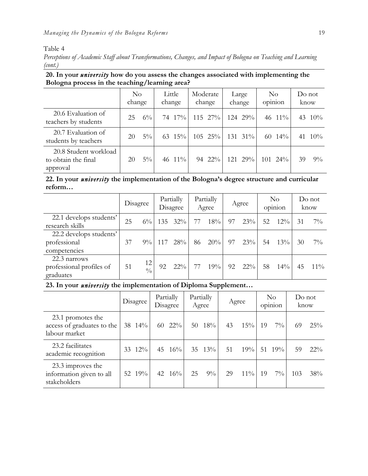*Perceptions of Academic Staff about Transformations, Changes, and Impact of Bologna on Teaching and Learning (cont.)*

**20. In your** *university* **how do you assess the changes associated with implementing the Bologna process in the teaching/learning area?**

|                                                          | No<br>change |       | Little<br>change | Moderate<br>change | Large<br>change |         | N <sub>o</sub><br>opinion |                  |    | Do not<br>know |
|----------------------------------------------------------|--------------|-------|------------------|--------------------|-----------------|---------|---------------------------|------------------|----|----------------|
| 20.6 Evaluation of<br>teachers by students               | 25           | $6\%$ | 74 17% 115 27%   |                    |                 | 124 29% |                           | 46 11%           |    | 43 10%         |
| 20.7 Evaluation of<br>students by teachers               | 20           | $5\%$ | 63 $15%$         | $105 \t25\%$       |                 | 131 31% |                           | $60 \t14\%$      | 41 | $10\%$         |
| 20.8 Student workload<br>to obtain the final<br>approval | 20           | $5\%$ | 46 11%           | 94 22%             |                 | 121 29% |                           | $101 \quad 24\%$ | 39 | $9\%$          |

**22. In your** *university* **the implementation of the Bologna's degree structure and curricular reform…**

|                                                         | Disagree |                     |     | Partially<br>Disagree | Partially<br>Agree |     | Agree |        | No<br>opinion |        |    | Do not<br>know |
|---------------------------------------------------------|----------|---------------------|-----|-----------------------|--------------------|-----|-------|--------|---------------|--------|----|----------------|
| 22.1 develops students'<br>research skills              | 25       | $6\%$               |     | 135 32%               | 77                 | 18% | 97    | 23%    | 52            | $12\%$ | 31 | $7\%$          |
| 22.2 develops students'<br>professional<br>competencies | 37       | $9\%$               | 117 | 28%                   | 86                 | 20% | 97    | 23%    | 54            | 13%    | 30 | $7\%$          |
| 22.3 narrows<br>professional profiles of<br>graduates   | 51       | 12<br>$^{0}/_{0}$ . | 92  | $22\%$                |                    | 19% | 92    | $22\%$ | 58            | $14\%$ | 45 | $11\%$         |

## **23. In your** *university* **the implementation of Diploma Supplement…**

|                                                                  | Disagree     | Partially<br>Disagree | Partially<br>Agree | Agree        | $\rm No$<br>opinion | Do not<br>know |  |
|------------------------------------------------------------------|--------------|-----------------------|--------------------|--------------|---------------------|----------------|--|
| 23.1 promotes the<br>access of graduates to the<br>labour market | 38 14%       | $22\%$<br>60          | 18%<br>50          | 15%<br>43    | $7\%$<br>19         | 25%<br>69      |  |
| 23.2 facilitates<br>academic recognition                         | $12\%$<br>33 | 45 16%                | 35 13%             | 51<br>19%    | 51 19%              | $22\%$<br>59   |  |
| 23.3 improves the<br>information given to all<br>stakeholders    | 52 19%       | 42 16%                | $9\%$<br>25        | $11\%$<br>29 | $7\%$<br>19         | 38%<br>103     |  |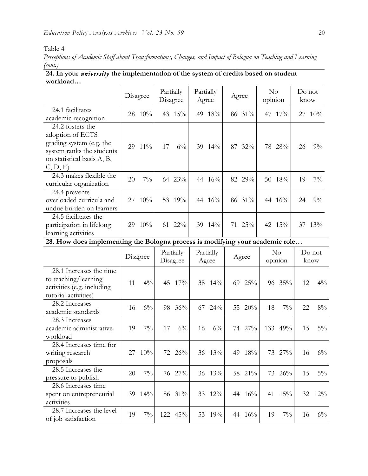*Perceptions of Academic Staff about Transformations, Changes, and Impact of Bologna on Teaching and Learning (cont.)*

| 24. In your <i>university</i> the implementation of the system of credits based on student |
|--------------------------------------------------------------------------------------------|
| workload                                                                                   |

|                                                                               | Disagree |        | Partially<br>Disagree |                       | Partially<br>Agree |           | Agree |        | $\rm No$<br>opinion |          | Do not<br>know |        |
|-------------------------------------------------------------------------------|----------|--------|-----------------------|-----------------------|--------------------|-----------|-------|--------|---------------------|----------|----------------|--------|
| 24.1 facilitates                                                              |          | 28 10% |                       | 43 15%                |                    | 49 18%    |       | 86 31% |                     | 47 17%   |                | 27 10% |
| academic recognition                                                          |          |        |                       |                       |                    |           |       |        |                     |          |                |        |
| 24.2 fosters the                                                              |          |        |                       |                       |                    |           |       |        |                     |          |                |        |
| adoption of ECTS                                                              |          |        |                       |                       |                    |           |       |        |                     |          |                |        |
| grading system (e.g. the                                                      | 29       | $11\%$ | 17                    | $6\%$                 | 39                 | 14%       | 87    | 32%    | 78                  | 28%      | 26             | $9\%$  |
| system ranks the students                                                     |          |        |                       |                       |                    |           |       |        |                     |          |                |        |
| on statistical basis A, B,                                                    |          |        |                       |                       |                    |           |       |        |                     |          |                |        |
| C, D, E                                                                       |          |        |                       |                       |                    |           |       |        |                     |          |                |        |
| 24.3 makes flexible the                                                       | 20       | $7\%$  |                       | 64 23%                |                    | 44 16%    |       | 82 29% |                     | 50 18%   | 19             | $7\%$  |
| curricular organization                                                       |          |        |                       |                       |                    |           |       |        |                     |          |                |        |
| 24.4 prevents                                                                 |          |        |                       |                       |                    |           |       |        |                     |          |                |        |
| overloaded curricula and                                                      |          | 27 10% |                       | 53 19%                |                    | 44 16%    |       | 86 31% |                     | 44 16%   | 24             | $9\%$  |
| undue burden on learners                                                      |          |        |                       |                       |                    |           |       |        |                     |          |                |        |
| 24.5 facilitates the                                                          |          |        |                       |                       |                    |           |       |        |                     |          |                |        |
| participation in lifelong                                                     |          | 29 10% |                       | 61 22%                |                    | 39 14%    |       | 71 25% |                     | 42 15%   |                | 37 13% |
| learning activities                                                           |          |        |                       |                       |                    |           |       |        |                     |          |                |        |
| 28. How does implementing the Bologna process is modifying your academic role |          |        |                       |                       |                    |           |       |        |                     |          |                |        |
|                                                                               |          |        |                       |                       |                    | Partially |       |        |                     | $\rm No$ |                | Do not |
|                                                                               | Disagree |        |                       | Partially<br>Disagree |                    | Agree     |       | Agree  |                     | opinion  |                | know   |
| 28.1 Increases the time                                                       |          |        |                       |                       |                    |           |       |        |                     |          |                |        |
| to teaching/learning                                                          |          |        |                       |                       |                    |           |       |        |                     |          |                |        |
| activities (e.g. including                                                    | 11       | $4\%$  | 45                    | 17%                   | 38                 | $14\%$    | 69    | 25%    |                     | 96 35%   | 12             | $4\%$  |
| tutorial activities)                                                          |          |        |                       |                       |                    |           |       |        |                     |          |                |        |
| 28.2 Increases                                                                |          |        |                       |                       |                    |           |       |        |                     |          |                |        |
| academic standards                                                            | 16       | $6\%$  |                       | 98 36%                |                    | 67 24%    | 55    | 20%    | 18                  | $7\%$    | 22             | $8\%$  |
| 28.3 Increases                                                                |          |        |                       |                       |                    |           |       |        |                     |          |                |        |
| academic administrative                                                       | 19       | $7\%$  | 17                    | $6\%$                 | 16                 | $6\%$     | 74    | 27%    | 133                 | 49%      | 15             | $5\%$  |
| workload                                                                      |          |        |                       |                       |                    |           |       |        |                     |          |                |        |
| 28.4 Increases time for                                                       |          |        |                       |                       |                    |           |       |        |                     |          |                |        |
|                                                                               | 27       | 10%    |                       | 72 26%                |                    | 36 13%    | 49    | 18%    | 73                  | 27%      | 16             | $6\%$  |
| writing research<br>proposals                                                 |          |        |                       |                       |                    |           |       |        |                     |          |                |        |
|                                                                               |          |        |                       |                       |                    |           |       |        |                     |          |                |        |
| 28.5 Increases the                                                            | 20       | $7\%$  |                       | 76 27%                |                    | 36 13%    |       | 58 21% |                     | 73 26%   | 15             | $5\%$  |
| pressure to publish                                                           |          |        |                       |                       |                    |           |       |        |                     |          |                |        |
| 28.6 Increases time                                                           |          |        |                       |                       |                    |           |       |        |                     |          |                |        |
| spent on entrepreneurial                                                      |          | 39 14% |                       | 86 31%                |                    | 33 12%    |       | 44 16% |                     | 41 15%   | 32             | $12\%$ |
| activities                                                                    |          |        |                       |                       |                    |           |       |        |                     |          |                |        |
| 28.7 Increases the level                                                      | 19       | $7\%$  |                       | 122 45%               |                    | 53 19%    |       | 44 16% | 19                  | $7\%$    | 16             | $6\%$  |
| of job satisfaction                                                           |          |        |                       |                       |                    |           |       |        |                     |          |                |        |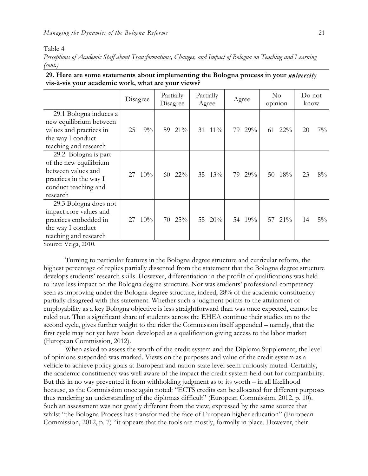*Perceptions of Academic Staff about Transformations, Changes, and Impact of Bologna on Teaching and Learning (cont.)*

**29. Here are some statements about implementing the Bologna process in your** *university* **vis-à-vis your academic work, what are your views?**

|                                                                                                                                                                                                   | Disagree |       | Partially<br>Disagree |        | Partially<br>Agree |        | Agree |     | $\rm No$<br>opinion |        | Do not<br>know |       |
|---------------------------------------------------------------------------------------------------------------------------------------------------------------------------------------------------|----------|-------|-----------------------|--------|--------------------|--------|-------|-----|---------------------|--------|----------------|-------|
| 29.1 Bologna induces a<br>new equilibrium between<br>values and practices in<br>the way I conduct<br>teaching and research                                                                        | 25       | $9\%$ |                       | 59 21% | 31                 | $11\%$ | 79.   | 29% | 61                  | $22\%$ | 20             | $7\%$ |
| 29.2 Bologna is part<br>of the new equilibrium<br>between values and<br>practices in the way I<br>conduct teaching and<br>research                                                                | 27       | 10%   | 60                    | $22\%$ | 35                 | 13%    | 79    | 29% | 50                  | 18%    | 23             | $8\%$ |
| 29.3 Bologna does not<br>impact core values and<br>practices embedded in<br>the way I conduct<br>teaching and research<br>$\mathcal{C}_{\text{obs}}$ $\mathcal{U}_{\text{obs}}$ $\mathcal{D}(10)$ | 27       | 10%   | 70                    | 25%    |                    | 55 20% | 54    | 19% |                     | 57 21% | 14             | $5\%$ |

Source: Veiga, 2010.

Turning to particular features in the Bologna degree structure and curricular reform, the highest percentage of replies partially dissented from the statement that the Bologna degree structure develops students' research skills. However, differentiation in the profile of qualifications was held to have less impact on the Bologna degree structure. Nor was students' professional competency seen as improving under the Bologna degree structure, indeed, 28% of the academic constituency partially disagreed with this statement. Whether such a judgment points to the attainment of employability as a key Bologna objective is less straightforward than was once expected, cannot be ruled out. That a significant share of students across the EHEA continue their studies on to the second cycle, gives further weight to the rider the Commission itself appended – namely, that the first cycle may not yet have been developed as a qualification giving access to the labor market (European Commission, 2012).

When asked to assess the worth of the credit system and the Diploma Supplement, the level of opinions suspended was marked. Views on the purposes and value of the credit system as a vehicle to achieve policy goals at European and nation-state level seem curiously muted. Certainly, the academic constituency was well aware of the impact the credit system held out for comparability. But this in no way prevented it from withholding judgment as to its worth – in all likelihood because, as the Commission once again noted: "ECTS credits can be allocated for different purposes thus rendering an understanding of the diplomas difficult" (European Commission, 2012, p. 10). Such an assessment was not greatly different from the view, expressed by the same source that whilst "the Bologna Process has transformed the face of European higher education" (European Commission, 2012, p. 7) "it appears that the tools are mostly, formally in place. However, their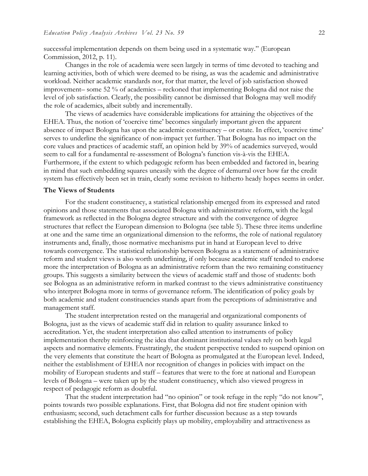successful implementation depends on them being used in a systematic way." (European Commission, 2012, p. 11).

Changes in the role of academia were seen largely in terms of time devoted to teaching and learning activities, both of which were deemed to be rising, as was the academic and administrative workload. Neither academic standards nor, for that matter, the level of job satisfaction showed improvement– some 52 % of academics – reckoned that implementing Bologna did not raise the level of job satisfaction. Clearly, the possibility cannot be dismissed that Bologna may well modify the role of academics, albeit subtly and incrementally.

The views of academics have considerable implications for attaining the objectives of the EHEA. Thus, the notion of 'coercive time' becomes singularly important given the apparent absence of impact Bologna has upon the academic constituency – or estate. In effect, 'coercive time' serves to underline the significance of non-impact yet further. That Bologna has no impact on the core values and practices of academic staff, an opinion held by 39% of academics surveyed, would seem to call for a fundamental re-assessment of Bologna's function vis-à-vis the EHEA. Furthermore, if the extent to which pedagogic reform has been embedded and factored in, bearing in mind that such embedding squares uneasily with the degree of demurral over how far the credit system has effectively been set in train, clearly some revision to hitherto heady hopes seems in order.

#### **The Views of Students**

For the student constituency, a statistical relationship emerged from its expressed and rated opinions and those statements that associated Bologna with administrative reform, with the legal framework as reflected in the Bologna degree structure and with the convergence of degree structures that reflect the European dimension to Bologna (see table 5). These three items underline at one and the same time an organizational dimension to the reforms, the role of national regulatory instruments and, finally, those normative mechanisms put in hand at European level to drive towards convergence. The statistical relationship between Bologna as a statement of administrative reform and student views is also worth underlining, if only because academic staff tended to endorse more the interpretation of Bologna as an administrative reform than the two remaining constituency groups. This suggests a similarity between the views of academic staff and those of students: both see Bologna as an administrative reform in marked contrast to the views administrative constituency who interpret Bologna more in terms of governance reform. The identification of policy goals by both academic and student constituencies stands apart from the perceptions of administrative and management staff.

The student interpretation rested on the managerial and organizational components of Bologna, just as the views of academic staff did in relation to quality assurance linked to accreditation. Yet, the student interpretation also called attention to instruments of policy implementation thereby reinforcing the idea that dominant institutional values rely on both legal aspects and normative elements. Frustratingly, the student perspective tended to suspend opinion on the very elements that constitute the heart of Bologna as promulgated at the European level. Indeed, neither the establishment of EHEA nor recognition of changes in policies with impact on the mobility of European students and staff – features that were to the fore at national and European levels of Bologna – were taken up by the student constituency, which also viewed progress in respect of pedagogic reform as doubtful.

That the student interpretation had "no opinion" or took refuge in the reply "do not know", points towards two possible explanations. First, that Bologna did not fire student opinion with enthusiasm; second, such detachment calls for further discussion because as a step towards establishing the EHEA, Bologna explicitly plays up mobility, employability and attractiveness as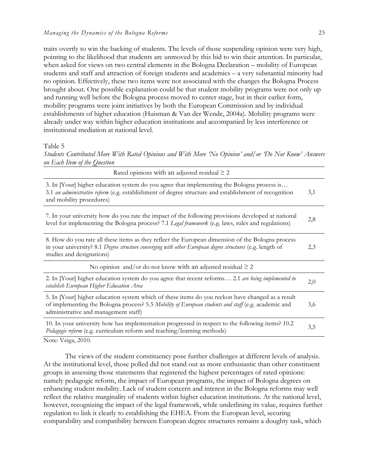traits overtly to win the backing of students. The levels of those suspending opinion were very high, pointing to the likelihood that students are unmoved by this bid to win their attention. In particular, when asked for views on two central elements in the Bologna Declaration – mobility of European students and staff and attraction of foreign students and academics – a very substantial minority had no opinion. Effectively, these two items were not associated with the changes the Bologna Process brought about. One possible explanation could be that student mobility programs were not only up and running well before the Bologna process moved to center stage, but in their earlier form, mobility programs were joint initiatives by both the European Commission and by individual establishments of higher education (Huisman & Van der Wende, 2004a). Mobility programs were already under way within higher education institutions and accompanied by less interference or institutional mediation at national level.

Table 5

*Students Contributed More With Rated Opinions and With More 'No Opinion' and/or 'Do Not Know' Answers on Each Item of the Question*

| Rated opinions with an adjusted residual $\geq 2$                                                                                                                                                                                               |     |
|-------------------------------------------------------------------------------------------------------------------------------------------------------------------------------------------------------------------------------------------------|-----|
| 3. In [Your] higher education system do you agree that implementing the Bologna process is<br>3.1 an administrative reform (e.g. establishment of degree structure and establishment of recognition<br>and mobility procedures)                 | 3,1 |
| 7. In your university how do you rate the impact of the following provisions developed at national<br>level for implementing the Bologna process? 7.1 Legal framework (e.g. laws, rules and regulations)                                        | 2,8 |
| 8. How do you rate all these items as they reflect the European dimension of the Bologna process<br>in your university? 8.1 Degree structure converging with other European degree structures (e.g. length of<br>studies and designations)      | 2,3 |
| No opinion and/or do not know with an adjusted residual $\geq 2$                                                                                                                                                                                |     |
| 2. In [Your] higher education system do you agree that recent reforms 2.1 are being implemented to<br>establish European Higher Education Area                                                                                                  | 2,0 |
| 5. In [Your] higher education system which of these items do you reckon have changed as a result<br>of implementing the Bologna process? 5.5 Mobility of European students and staff (e.g. academic and<br>administrative and management staff) | 3,6 |
| 10. In your university how has implementation progressed in respect to the following items? 10.2<br>Pedagogic reform (e.g. curriculum reform and teaching/learning methods)                                                                     | 3,5 |

Note: Veiga, 2010.

The views of the student constituency pose further challenges at different levels of analysis. At the institutional level, those polled did not stand out as more enthusiastic than other constituent groups in assessing those statements that registered the highest percentages of rated opinions: namely pedagogic reform, the impact of European programs, the impact of Bologna degrees on enhancing student mobility. Lack of student concern and interest in the Bologna reforms may well reflect the relative marginality of students within higher education institutions. At the national level, however, recognizing the impact of the legal framework, while underlining its value, requires further regulation to link it clearly to establishing the EHEA. From the European level, securing comparability and compatibility between European degree structures remains a doughty task, which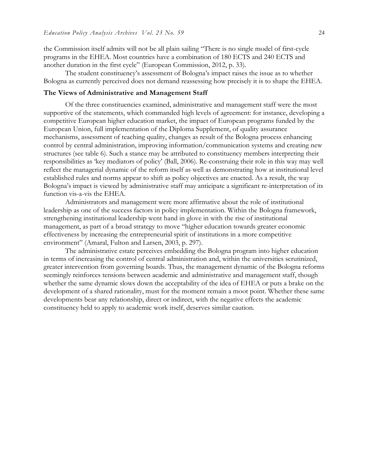the Commission itself admits will not be all plain sailing "There is no single model of first-cycle programs in the EHEA. Most countries have a combination of 180 ECTS and 240 ECTS and another duration in the first cycle" (European Commission, 2012, p. 33).

The student constituency's assessment of Bologna's impact raises the issue as to whether Bologna as currently perceived does not demand reassessing how precisely it is to shape the EHEA.

#### **The Views of Administrative and Management Staff**

Of the three constituencies examined, administrative and management staff were the most supportive of the statements, which commanded high levels of agreement: for instance, developing a competitive European higher education market, the impact of European programs funded by the European Union, full implementation of the Diploma Supplement, of quality assurance mechanisms, assessment of teaching quality, changes as result of the Bologna process enhancing control by central administration, improving information/communication systems and creating new structures (see table 6). Such a stance may be attributed to constituency members interpreting their responsibilities as 'key mediators of policy' (Ball, 2006). Re-construing their role in this way may well reflect the managerial dynamic of the reform itself as well as demonstrating how at institutional level established rules and norms appear to shift as policy objectives are enacted. As a result, the way Bologna's impact is viewed by administrative staff may anticipate a significant re-interpretation of its function vis-a-vis the EHEA.

Administrators and management were more affirmative about the role of institutional leadership as one of the success factors in policy implementation. Within the Bologna framework, strengthening institutional leadership went hand in glove in with the rise of institutional management, as part of a broad strategy to move "higher education towards greater economic effectiveness by increasing the entrepreneurial spirit of institutions in a more competitive environment" (Amaral, Fulton and Larsen, 2003, p. 297).

The administrative estate perceives embedding the Bologna program into higher education in terms of increasing the control of central administration and, within the universities scrutinized, greater intervention from governing boards. Thus, the management dynamic of the Bologna reforms seemingly reinforces tensions between academic and administrative and management staff, though whether the same dynamic slows down the acceptability of the idea of EHEA or puts a brake on the development of a shared rationality, must for the moment remain a moot point. Whether these same developments bear any relationship, direct or indirect, with the negative effects the academic constituency held to apply to academic work itself, deserves similar caution.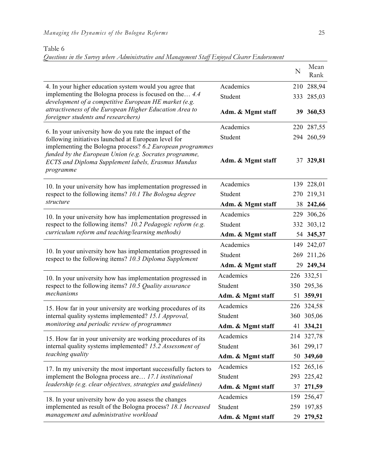```
Questions in the Survey where Administrative and Management Staff Enjoyed Clearer Endorsement
```

|                                                                                                                                                                                                                                                                                                           |                   | N   | Mean<br>Rank |
|-----------------------------------------------------------------------------------------------------------------------------------------------------------------------------------------------------------------------------------------------------------------------------------------------------------|-------------------|-----|--------------|
| 4. In your higher education system would you agree that<br>implementing the Bologna process is focused on the 4.4<br>development of a competitive European HE market (e.g.                                                                                                                                | Academics         |     | 210 288,94   |
|                                                                                                                                                                                                                                                                                                           | Student           |     | 333 285,03   |
| attractiveness of the European Higher Education Area to<br>foreigner students and researchers)                                                                                                                                                                                                            | Adm. & Mgmt staff |     | 39 360,53    |
| 6. In your university how do you rate the impact of the<br>following initiatives launched at European level for<br>implementing the Bologna process? 6.2 European programmes<br>funded by the European Union (e.g. Socrates programme,<br>ECTS and Diploma Supplement labels, Erasmus Mundus<br>programme | Academics         |     | 220 287,55   |
|                                                                                                                                                                                                                                                                                                           | Student           |     | 294 260,59   |
|                                                                                                                                                                                                                                                                                                           | Adm. & Mgmt staff |     | 37 329,81    |
| 10. In your university how has implementation progressed in                                                                                                                                                                                                                                               | Academics         |     | 139 228,01   |
| respect to the following items? 10.1 The Bologna degree                                                                                                                                                                                                                                                   | Student           |     | 270 219,31   |
| structure                                                                                                                                                                                                                                                                                                 | Adm. & Mgmt staff |     | 38 242,66    |
| 10. In your university how has implementation progressed in                                                                                                                                                                                                                                               | Academics         |     | 229 306,26   |
| respect to the following items? 10.2 Pedagogic reform (e.g.                                                                                                                                                                                                                                               | Student           |     | 332 303,12   |
| curriculum reform and teaching/learning methods)                                                                                                                                                                                                                                                          | Adm. & Mgmt staff |     | 54 345,37    |
|                                                                                                                                                                                                                                                                                                           | Academics         |     | 149 242,07   |
| 10. In your university how has implementation progressed in<br>respect to the following items? 10.3 Diploma Supplement                                                                                                                                                                                    | Student           |     | 269 211,26   |
|                                                                                                                                                                                                                                                                                                           | Adm. & Mgmt staff |     | 29 249,34    |
| 10. In your university how has implementation progressed in                                                                                                                                                                                                                                               | Academics         |     | 226 332,51   |
| respect to the following items? 10.5 Quality assurance                                                                                                                                                                                                                                                    | Student           |     | 350 295,36   |
| mechanisms                                                                                                                                                                                                                                                                                                | Adm. & Mgmt staff |     | 51 359,91    |
| 15. How far in your university are working procedures of its                                                                                                                                                                                                                                              | Academics         |     | 226 324,58   |
| internal quality systems implemented? 15.1 Approval,                                                                                                                                                                                                                                                      | Student           | 360 | 305,06       |
| monitoring and periodic review of programmes                                                                                                                                                                                                                                                              | Adm. & Mgmt staff |     | 41 334,21    |
| 15. How far in your university are working procedures of its                                                                                                                                                                                                                                              | Academics         |     | 214 327,78   |
| internal quality systems implemented? 15.2 Assessment of                                                                                                                                                                                                                                                  | Student           |     | 361 299,17   |
| teaching quality                                                                                                                                                                                                                                                                                          | Adm. & Mgmt staff |     | 50 349,60    |
| 17. In my university the most important successfully factors to                                                                                                                                                                                                                                           | Academics         |     | 152 265,16   |
| implement the Bologna process are 17.1 institutional<br>leadership (e.g. clear objectives, strategies and guidelines)                                                                                                                                                                                     | Student           | 293 | 225,42       |
|                                                                                                                                                                                                                                                                                                           | Adm. & Mgmt staff | 37  | 271,59       |
| 18. In your university how do you assess the changes<br>implemented as result of the Bologna process? 18.1 Increased<br>management and administrative workload                                                                                                                                            | Academics         | 159 | 256,47       |
|                                                                                                                                                                                                                                                                                                           | Student           | 259 | 197,85       |
|                                                                                                                                                                                                                                                                                                           | Adm. & Mgmt staff | 29  | 279,52       |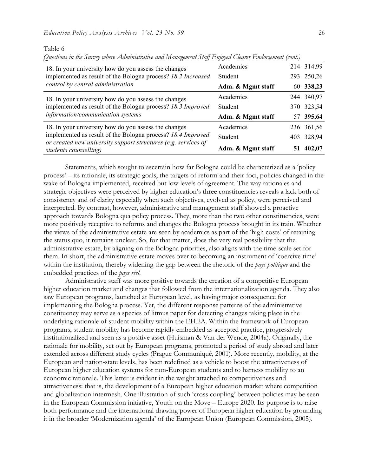| 18. In your university how do you assess the changes<br>implemented as result of the Bologna process? 18.2 Increased<br>control by central administration                                                      | Academics         |    | 214 314,99 |
|----------------------------------------------------------------------------------------------------------------------------------------------------------------------------------------------------------------|-------------------|----|------------|
|                                                                                                                                                                                                                | Student           |    | 293 250,26 |
|                                                                                                                                                                                                                | Adm. & Mgmt staff |    | 60 338,23  |
| 18. In your university how do you assess the changes<br>implemented as result of the Bologna process? 18.3 Improved<br>information/communication systems                                                       | Academics         |    | 244 340,97 |
|                                                                                                                                                                                                                | Student           |    | 370 323,54 |
|                                                                                                                                                                                                                | Adm. & Mgmt staff | 57 | 395,64     |
| 18. In your university how do you assess the changes<br>implemented as result of the Bologna process? 18.4 Improved<br>or created new university support structures (e.g. services of<br>students counselling) | Academics         |    | 236 361,56 |
|                                                                                                                                                                                                                | Student           |    | 403 328,94 |
|                                                                                                                                                                                                                | Adm. & Mgmt staff | 51 | 402,07     |
|                                                                                                                                                                                                                |                   |    |            |

*Questions in the Survey where Administrative and Management Staff Enjoyed Clearer Endorsement (cont.)*

Statements, which sought to ascertain how far Bologna could be characterized as a 'policy process' – its rationale, its strategic goals, the targets of reform and their foci, policies changed in the wake of Bologna implemented, received but low levels of agreement. The way rationales and strategic objectives were perceived by higher education's three constituencies reveals a lack both of consistency and of clarity especially when such objectives, evolved as policy, were perceived and interpreted. By contrast, however, administrative and management staff showed a proactive approach towards Bologna qua policy process. They, more than the two other constituencies, were more positively receptive to reforms and changes the Bologna process brought in its train. Whether the views of the administrative estate are seen by academics as part of the 'high costs' of retaining the status quo, it remains unclear. So, for that matter, does the very real possibility that the administrative estate, by aligning on the Bologna priorities, also aligns with the time-scale set for them. In short, the administrative estate moves over to becoming an instrument of 'coercive time' within the institution, thereby widening the gap between the rhetoric of the *pays politique* and the embedded practices of the *pays réel*.

Administrative staff was more positive towards the creation of a competitive European higher education market and changes that followed from the internationalization agenda. They also saw European programs, launched at European level, as having major consequence for implementing the Bologna process. Yet, the different response patterns of the administrative constituency may serve as a species of litmus paper for detecting changes taking place in the underlying rationale of student mobility within the EHEA. Within the framework of European programs, student mobility has become rapidly embedded as accepted practice, progressively institutionalized and seen as a positive asset (Huisman & Van der Wende, 2004a). Originally, the rationale for mobility, set out by European programs, promoted a period of study abroad and later extended across different study cycles (Prague Communiqué, 2001). More recently, mobility, at the European and nation-state levels, has been redefined as a vehicle to boost the attractiveness of European higher education systems for non-European students and to harness mobility to an economic rationale. This latter is evident in the weight attached to competitiveness and attractiveness: that is, the development of a European higher education market where competition and globalization intermesh. One illustration of such 'cross coupling' between policies may be seen in the European Commission initiative, Youth on the Move – Europe 2020. Its purpose is to raise both performance and the international drawing power of European higher education by grounding it in the broader 'Modernization agenda' of the European Union (European Commission, 2005).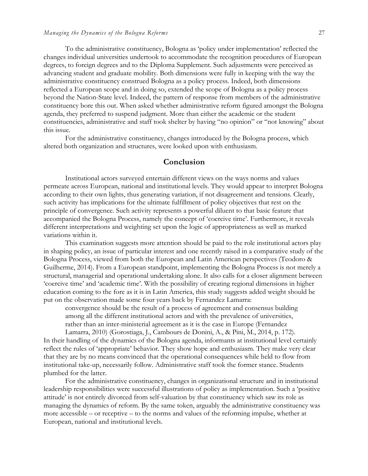To the administrative constituency, Bologna as 'policy under implementation' reflected the changes individual universities undertook to accommodate the recognition procedures of European degrees, to foreign degrees and to the Diploma Supplement. Such adjustments were perceived as advancing student and graduate mobility. Both dimensions were fully in keeping with the way the administrative constituency construed Bologna as a policy process. Indeed, both dimensions reflected a European scope and in doing so, extended the scope of Bologna as a policy process beyond the Nation-State level. Indeed, the pattern of response from members of the administrative constituency bore this out. When asked whether administrative reform figured amongst the Bologna agenda, they preferred to suspend judgment. More than either the academic or the student constituencies, administrative and staff took shelter by having "no opinion" or "not knowing" about this issue.

For the administrative constituency, changes introduced by the Bologna process, which altered both organization and structures, were looked upon with enthusiasm.

#### **Conclusion**

Institutional actors surveyed entertain different views on the ways norms and values permeate across European, national and institutional levels. They would appear to interpret Bologna according to their own lights, thus generating variation, if not disagreement and tensions. Clearly, such activity has implications for the ultimate fulfillment of policy objectives that rest on the principle of convergence. Such activity represents a powerful diluent to that basic feature that accompanied the Bologna Process, namely the concept of 'coercive time'. Furthermore, it reveals different interpretations and weighting set upon the logic of appropriateness as well as marked variations within it.

This examination suggests more attention should be paid to the role institutional actors play in shaping policy, an issue of particular interest and one recently raised in a comparative study of the Bologna Process, viewed from both the European and Latin American perspectives (Teodoro & Guilherme, 2014). From a European standpoint, implementing the Bologna Process is not merely a structural, managerial and operational undertaking alone. It also calls for a closer alignment between 'coercive time' and 'academic time'. With the possibility of creating regional dimensions in higher education coming to the fore as it is in Latin America, this study suggests added weight should be put on the observation made some four years back by Fernandez Lamarra:

convergence should be the result of a process of agreement and consensus building among all the different institutional actors and with the prevalence of universities, rather than an inter-ministerial agreement as it is the case in Europe (Fernandez Lamarra, 2010) (Gorostiaga, J., Cambours de Donini, A., & Pini, M., 2014, p. 172).

In their handling of the dynamics of the Bologna agenda, informants at institutional level certainly reflect the rules of 'appropriate' behavior. They show hope and enthusiasm. They make very clear that they are by no means convinced that the operational consequences while held to flow from institutional take-up, necessarily follow. Administrative staff took the former stance. Students plumbed for the latter.

For the administrative constituency, changes in organizational structure and in institutional leadership responsibilities were successful illustrations of policy as implementation. Such a 'positive attitude' is not entirely divorced from self-valuation by that constituency which saw its role as managing the dynamics of reform. By the same token, arguably the administrative constituency was more accessible – or receptive – to the norms and values of the reforming impulse, whether at European, national and institutional levels.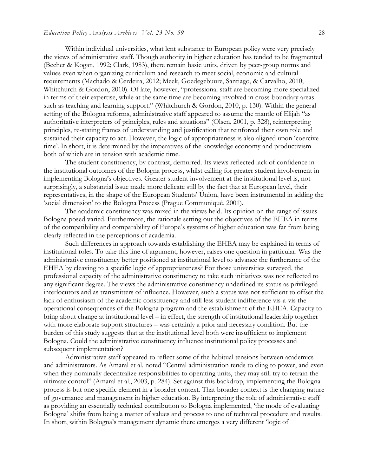Within individual universities, what lent substance to European policy were very precisely the views of administrative staff. Though authority in higher education has tended to be fragmented (Becher & Kogan, 1992; Clark, 1983), there remain basic units, driven by peer-group norms and values even when organizing curriculum and research to meet social, economic and cultural requirements (Machado & Cerdeira, 2012; Meek, Goedegebuure, Santiago, & Carvalho, 2010; Whitchurch & Gordon, 2010). Of late, however, "professional staff are becoming more specialized in terms of their expertise, while at the same time are becoming involved in cross-boundary areas such as teaching and learning support." (Whitchurch & Gordon, 2010, p. 130). Within the general setting of the Bologna reforms, administrative staff appeared to assume the mantle of Elijah "as authoritative interpreters of principles, rules and situations" (Olsen, 2001, p. 328), reinterpreting principles, re-stating frames of understanding and justification that reinforced their own role and sustained their capacity to act. However, the logic of appropriateness is also aligned upon 'coercive time'. In short, it is determined by the imperatives of the knowledge economy and productivism both of which are in tension with academic time.

The student constituency, by contrast, demurred. Its views reflected lack of confidence in the institutional outcomes of the Bologna process, whilst calling for greater student involvement in implementing Bologna's objectives. Greater student involvement at the institutional level is, not surprisingly, a substantial issue made more delicate still by the fact that at European level, their representatives, in the shape of the European Students' Union, have been instrumental in adding the 'social dimension' to the Bologna Process (Prague Communiqué, 2001).

The academic constituency was mixed in the views held. Its opinion on the range of issues Bologna posed varied. Furthermore, the rationale setting out the objectives of the EHEA in terms of the compatibility and comparability of Europe's systems of higher education was far from being clearly reflected in the perceptions of academia.

Such differences in approach towards establishing the EHEA may be explained in terms of institutional roles. To take this line of argument, however, raises one question in particular. Was the administrative constituency better positioned at institutional level to advance the furtherance of the EHEA by cleaving to a specific logic of appropriateness? For those universities surveyed, the professional capacity of the administrative constituency to take such initiatives was not reflected to any significant degree. The views the administrative constituency underlined its status as privileged interlocutors and as transmitters of influence. However, such a status was not sufficient to offset the lack of enthusiasm of the academic constituency and still less student indifference vis-a-vis the operational consequences of the Bologna program and the establishment of the EHEA. Capacity to bring about change at institutional level – in effect, the strength of institutional leadership together with more elaborate support structures – was certainly a prior and necessary condition. But the burden of this study suggests that at the institutional level both were insufficient to implement Bologna. Could the administrative constituency influence institutional policy processes and subsequent implementation?

Administrative staff appeared to reflect some of the habitual tensions between academics and administrators. As Amaral et al. noted "Central administration tends to cling to power, and even when they nominally decentralize responsibilities to operating units, they may still try to retrain the ultimate control" (Amaral et al., 2003, p. 284). Set against this backdrop, implementing the Bologna process is but one specific element in a broader context. That broader context is the changing nature of governance and management in higher education. By interpreting the role of administrative staff as providing an essentially technical contribution to Bologna implemented, 'the mode of evaluating Bologna' shifts from being a matter of values and process to one of technical procedure and results. In short, within Bologna's management dynamic there emerges a very different 'logic of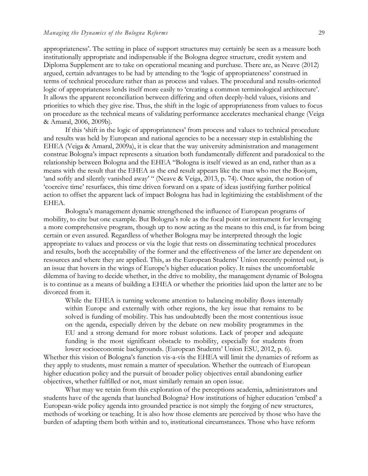appropriateness'. The setting in place of support structures may certainly be seen as a measure both institutionally appropriate and indispensable if the Bologna degree structure, credit system and Diploma Supplement are to take on operational meaning and purchase. There are, as Neave (2012) argued, certain advantages to be had by attending to the 'logic of appropriateness' construed in terms of technical procedure rather than as process and values. The procedural and results-oriented logic of appropriateness lends itself more easily to 'creating a common terminological architecture'. It allows the apparent reconciliation between differing and often deeply-held values, visions and priorities to which they give rise. Thus, the shift in the logic of appropriateness from values to focus on procedure as the technical means of validating performance accelerates mechanical change (Veiga & Amaral, 2006, 2009b).

If this 'shift in the logic of appropriateness' from process and values to technical procedure and results was held by European and national agencies to be a necessary step in establishing the EHEA (Veiga & Amaral, 2009a), it is clear that the way university administration and management construe Bologna's impact represents a situation both fundamentally different and paradoxical to the relationship between Bologna and the EHEA "Bologna is itself viewed as an end, rather than as a means with the result that the EHEA as the end result appears like the man who met the Boojum, 'and softly and silently vanished away' " (Neave & Veiga, 2013, p. 74). Once again, the notion of 'coercive time' resurfaces, this time driven forward on a spate of ideas justifying further political action to offset the apparent lack of impact Bologna has had in legitimizing the establishment of the EHEA.

Bologna's management dynamic strengthened the influence of European programs of mobility, to cite but one example. But Bologna's role as the focal point or instrument for leveraging a more comprehensive program, though up to now acting as the means to this end, is far from being certain or even assured. Regardless of whether Bologna may be interpreted through the logic appropriate to values and process or via the logic that rests on disseminating technical procedures and results, both the acceptability of the former and the effectiveness of the latter are dependent on resources and where they are applied. This, as the European Students' Union recently pointed out, is an issue that hovers in the wings of Europe's higher education policy. It raises the uncomfortable dilemma of having to decide whether, in the drive to mobility, the management dynamic of Bologna is to continue as a means of building a EHEA or whether the priorities laid upon the latter are to be divorced from it.

While the EHEA is turning welcome attention to balancing mobility flows internally within Europe and externally with other regions, the key issue that remains to be solved is funding of mobility. This has undoubtedly been the most contentious issue on the agenda, especially driven by the debate on new mobility programmes in the EU and a strong demand for more robust solutions. Lack of proper and adequate funding is the most significant obstacle to mobility, especially for students from lower socioeconomic backgrounds. (European Students' Union ESU, 2012, p. 6).

Whether this vision of Bologna's function vis-a-vis the EHEA will limit the dynamics of reform as they apply to students, must remain a matter of speculation. Whether the outreach of European higher education policy and the pursuit of broader policy objectives entail abandoning earlier objectives, whether fulfilled or not, must similarly remain an open issue.

What may we retain from this exploration of the perceptions academia, administrators and students have of the agenda that launched Bologna? How institutions of higher education 'embed' a European-wide policy agenda into grounded practice is not simply the forging of new structures, methods of working or teaching. It is also how those elements are perceived by those who have the burden of adapting them both within and to, institutional circumstances. Those who have reform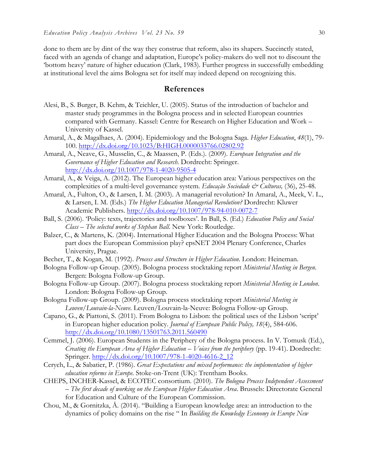done to them are by dint of the way they construe that reform, also its shapers. Succinctly stated, faced with an agenda of change and adaptation, Europe's policy-makers do well not to discount the 'bottom heavy' nature of higher education (Clark, 1983). Further progress in successfully embedding at institutional level the aims Bologna set for itself may indeed depend on recognizing this.

#### **References**

- Alesi, B., S. Burger, B. Kehm, & Teichler, U. (2005). Status of the introduction of bachelor and master study programmes in the Bologna process and in selected European countries compared with Germany. Kassel: Centre for Research on Higher Education and Work – University of Kassel.
- Amaral, A., & Magalhaes, A. (2004). Epidemiology and the Bologna Saga. *Higher Education*, *48*(1), 79- 100. http://dx.doi.org/10.1023/B:HIGH.0000033766.02802.92
- Amaral, A., Neave, G., Musselin, C., & Maassen, P. (Eds.). (2009). *European Integration and the Governance of Higher Education and Research*. Dordrecht: Springer. http://dx.doi.org/10.1007/978-1-4020-9505-4
- Amaral, A., & Veiga, A. (2012). The European higher education area: Various perspectives on the complexities of a multi-level governance system. *Educação Sociedade & Culturas,* (36), 25-48.
- Amaral, A., Fulton, O., & Larsen, I. M. (2003). A managerial revolution? In Amaral, A., Meek, V. L., & Larsen, I. M. (Eds.) *The Higher Education Managerial Revolution?* Dordrecht: Kluwer Academic Publishers. http://dx.doi.org/10.1007/978-94-010-0072-7
- Ball, S. (2006). 'Policy: texts, trajectories and toolboxes'. In Ball, S. (Ed.) *Education Policy and Social Class – The selected works of Stephan Ball*. New York: Routledge.
- Balzer, C., & Martens, K. (2004). International Higher Education and the Bologna Process: What part does the European Commission play? epsNET 2004 Plenary Conference, Charles University, Prague.
- Becher, T., & Kogan, M. (1992). *Process and Structure in Higher Education*. London: Heineman.
- Bologna Follow-up Group. (2005). Bologna process stocktaking report *Ministerial Meeting in Bergen*. Bergen: Bologna Follow-up Group.
- Bologna Follow-up Group. (2007). Bologna process stocktaking report *Ministerial Meeting in London*. London: Bologna Follow-up Group.
- Bologna Follow-up Group. (2009). Bologna process stocktaking report *Ministerial Meeting in Leuven/Louvain-la-Neuve*. Leuven/Louvain-la-Neuve: Bologna Follow-up Group.
- Capano, G., & Piattoni, S. (2011). From Bologna to Lisbon: the political uses of the Lisbon 'script' in European higher education policy. *Journal of European Public Policy, 18*(4), 584-606. http://dx.doi.org/10.1080/13501763.2011.560490
- Cemmel, J. (2006). European Students in the Periphery of the Bologna process. In V. Tomusk (Ed.), *Creating the European Area of Higher Education – Voices from the periphery* (pp. 19-41). Dordrecht: Springer. http://dx.doi.org/10.1007/978-1-4020-4616-2\_12
- Cerych, L., & Sabatier, P. (1986). *Great Expectations and mixed performance: the implementation of higher education reforms in Europe.* Stoke-on-Trent (UK): Trentham Books.
- CHEPS, INCHER-Kassel, & ECOTEC consortium. (2010). *The Bologna Process Independent Assessment – The first decade of working on the European Higher Education Area*. Brussels: Directorate General for Education and Culture of the European Commission.
- Chou, M., & Gornitzka, Å. (2014). "Building a European knowledge area: an introduction to the dynamics of policy domains on the rise " In *Building the Knowledge Economy in Europe New*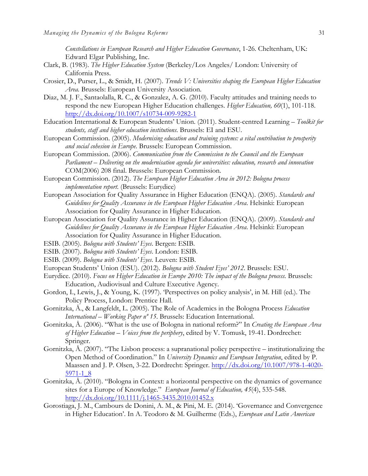*Constellations in European Research and Higher Education Governance*, 1-26. Cheltenham, UK: Edward Elgar Publishing, Inc.

- Clark, B. (1983). *The Higher Education System* (Berkeley/Los Angeles/ London: University of California Press.
- Crosier, D., Purser, L., & Smidt, H. (2007). *Trends V: Universities shaping the European Higher Education Area.* Brussels: European University Association.
- Diaz, M. J. F., Santaolalla, R. C., & Gonzalez, A. G. (2010). Faculty attitudes and training needs to respond the new European Higher Education challenges. *Higher Education, 60*(1), 101-118. http://dx.doi.org/10.1007/s10734-009-9282-1
- Education International & European Students' Union. (2011). Student-centred Learning *Toolkit for students, staff and higher education institutions*. Brussels: EI and ESU.
- European Commission. (2005). *Modernising education and training systems: a vital contribution to prosperity and social cohesion in Europe*. Brussels: European Commission.
- European Commission. (2006). *Communication from the Commission to the Council and the European Parliament – Delivering on the modernisation agenda for universities: education, research and innovation* COM(2006) 208 final. Brussels: European Commission.
- European Commission. (2012). *The European Higher Education Area in 2012: Bologna process implementation report*. (Brussels: Eurydice)
- European Association for Quality Assurance in Higher Education (ENQA). (2005). *Standards and Guidelines for Quality Assurance in the European Higher Education Area*. Helsinki: European Association for Quality Assurance in Higher Education.
- European Association for Quality Assurance in Higher Education (ENQA). (2009). *Standards and Guidelines for Quality Assurance in the European Higher Education Area*. Helsinki: European Association for Quality Assurance in Higher Education.
- ESIB. (2005). *Bologna with Students' Eyes*. Bergen: ESIB.
- ESIB. (2007). *Bologna with Students' Eyes*. London: ESIB.
- ESIB. (2009). *Bologna with Students' Eyes*. Leuven: ESIB.
- European Students' Union (ESU). (2012). *Bologna with Student Eyes' 2012*. Brussels: ESU.
- Eurydice. (2010). *Focus on Higher Education in Europe 2010: The impact of the Bologna process.* Brussels: Education, Audiovisual and Culture Executive Agency.
- Gordon, I., Lewis, J., & Young, K. (1997). 'Perspectives on policy analysis', in M. Hill (ed.). The Policy Process, London: Prentice Hall.
- Gornitzka, Å., & Langfeldt, L. (2005). The Role of Academics in the Bologna Process *Education International – Working Paper nº 15*. Brussels: Education International.
- Gornitzka, Å. (2006). "What is the use of Bologna in national reform?" In *Creating the European Area of Higher Education – Voices from the periphery*, edited by V. Tomusk, 19-41. Dordrechet: Springer.
- Gornitzka, Å. (2007). "The Lisbon process: a supranational policy perspective institutionalizing the Open Method of Coordination." In *University Dynamics and European Integration*, edited by P. Maassen and J. P. Olsen, 3-22. Dordrecht: Springer. http://dx.doi.org/10.1007/978-1-4020- 5971-1\_8
- Gornitzka, Å. (2010). "Bologna in Context: a horizontal perspective on the dynamics of governance sites for a Europe of Knowledge." *European Journal of Education, 45*(4), 535-548. http://dx.doi.org/10.1111/j.1465-3435.2010.01452.x
- Gorostiaga, J. M., Cambours de Donini, A. M., & Pini, M. E. (2014). 'Governance and Convergence in Higher Education'. In A. Teodoro & M. Guilherme (Eds.), *European and Latin American*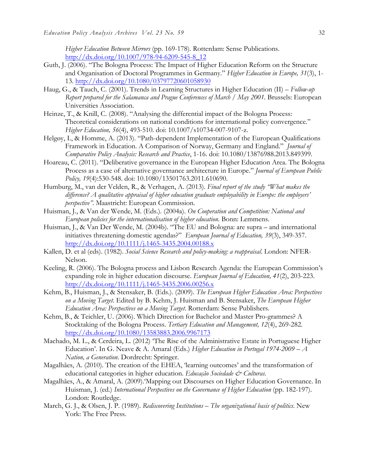*Higher Education Between Mirrors* (pp. 169-178). Rotterdam: Sense Publications. http://dx.doi.org/10.1007/978-94-6209-545-8\_12

- Guth, J. (2006). "The Bologna Process: The Impact of Higher Education Reform on the Structure and Organisation of Doctoral Programmes in Germany." *Higher Education in Europe, 31*(3), 1- 13. http://dx.doi.org/10.1080/03797720601058930
- Haug, G., & Tauch, C. (2001). Trends in Learning Structures in Higher Education (II) *Follow-up Report prepared for the Salamanca and Prague Conferences of March / May 2001.* Brussels: European Universities Association.
- Heinze, T., & Knill, C. (2008). "Analysing the differential impact of the Bologna Process: Theoretical considerations on national conditions for international policy convergence." *Higher Education, 56*(4), 493-510. doi: 10.1007/s10734-007-9107-z.
- Helgøy, I., & Homme, A. (2013). "Path-dependent Implementation of the European Qualifications Framework in Education. A Comparison of Norway, Germany and England." *Journal of Comparative Policy Analysis: Research and Practice*, 1-16. doi: 10.1080/13876988.2013.849399.
- Hoareau, C. (2011). "Deliberative governance in the European Higher Education Area. The Bologna Process as a case of alternative governance architecture in Europe." *Journal of European Public Policy, 19*(4):530-548. doi: 10.1080/13501763.2011.610690.
- Humburg, M., van der Velden, R., & Verhagen, A. (2013). *Final report of the study "What makes the difference? A qualitative appraisal of higher education graduate employability in Europe: the employers' perspective".* Maastricht: European Commission.
- Huisman, J., & Van der Wende, M. (Eds.). (2004a). *On Cooperation and Competition: National and European policies for the internationalisation of higher education*. Bonn: Lemmens.
- Huisman, J., & Van Der Wende, M. (2004b). "The EU and Bologna: are supra and international initiatives threatening domestic agendas?" *European Journal of Education, 39*(3), 349-357. http://dx.doi.org/10.1111/j.1465-3435.2004.00188.x
- Kallen, D. et al (eds). (1982). *Social Science Research and policy-making: a reappraisal*. London: NFER-Nelson.
- Keeling, R. (2006). The Bologna process and Lisbon Research Agenda: the European Commission's expanding role in higher education discourse. *European Journal of Education, 41*(2), 203-223. http://dx.doi.org/10.1111/j.1465-3435.2006.00256.x
- Kehm, B., Huisman, J., & Stensaker, B. (Eds.). (2009). *The European Higher Education Area: Perspectives on a Moving Target*. Edited by B. Kehm, J. Huisman and B. Stensaker, *The European Higher Education Area: Perspectives on a Moving Target*. Rotterdam: Sense Publishers.
- Kehm, B., & Teichler, U. (2006). Which Direction for Bachelor and Master Pro-grammes? A Stocktaking of the Bologna Process. *Tertiary Education and Management, 12*(4), 269-282. http://dx.doi.org/10.1080/13583883.2006.9967173
- Machado, M. L., & Cerdeira, L. (2012) 'The Rise of the Administrative Estate in Portuguese Higher Education'. In G. Neave & A. Amaral (Eds.) *Higher Education in Portugal 1974-2009 – A Nation, a Generation*. Dordrecht: Springer.
- Magalhães, A. (2010). The creation of the EHEA, 'learning outcomes' and the transformation of educational categories in higher education. *Educação Sociedade & Culturas*.
- Magalhães, A., & Amaral, A. (2009).'Mapping out Discourses on Higher Education Governance. In Huisman, J. (ed.) *International Perspectives on the Governance of Higher Education* (pp. 182-197). London: Routledge.
- March, G. J., & Olsen, J. P. (1989). *Rediscovering Institutions – The organizational basis of politics*. New York: The Free Press.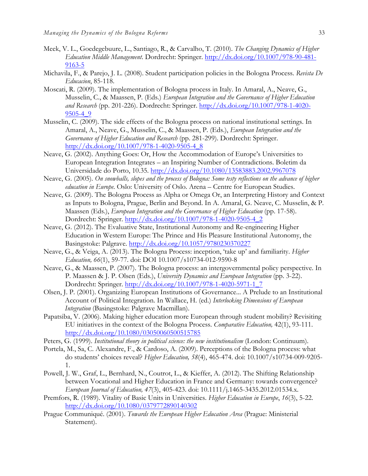- Meek, V. L., Goedegebuure, L., Santiago, R., & Carvalho, T. (2010). *The Changing Dynamics of Higher Education Middle Management*. Dordrecht: Springer. http://dx.doi.org/10.1007/978-90-481- 9163-5
- Michavila, F., & Parejo, J. L. (2008). Student participation policies in the Bologna Process. *Revista De Educacion*, 85-118.
- Moscati, R. (2009). The implementation of Bologna process in Italy. In Amaral, A., Neave, G., Musselin, C., & Maassen, P. (Eds.) *European Integration and the Governance of Higher Education and Research* (pp. 201-226). Dordrecht: Springer. http://dx.doi.org/10.1007/978-1-4020- 9505-4\_9
- Musselin, C. (2009). The side effects of the Bologna process on national institutional settings. In Amaral, A., Neave, G., Musselin, C., & Maassen, P. (Eds.), *European Integration and the Governance of Higher Education and Research* (pp. 281-299). Dordrecht: Springer. http://dx.doi.org/10.1007/978-1-4020-9505-4\_8
- Neave, G. (2002). Anything Goes: Or, How the Accommodation of Europe's Universities to European Integration Integrates – an Inspiring Number of Contradictions. Boletim da Universidade do Porto, 10.35. http://dx.doi.org/10.1080/13583883.2002.9967078
- Neave, G. (2005). *On snowballs, slopes and the process of Bologna: Some testy reflections on the advance of higher education in Europe*. Oslo: University of Oslo. Arena – Centre for European Studies.
- Neave, G. (2009). The Bologna Process as Alpha or Omega Or, an Interpreting History and Context as Inputs to Bologna, Prague, Berlin and Beyond. In A. Amaral, G. Neave, C. Musselin, & P. Maassen (Eds.), *European Integration and the Governance of Higher Education* (pp. 17-58). Dordrecht: Springer. http://dx.doi.org/10.1007/978-1-4020-9505-4\_2
- Neave, G. (2012). The Evaluative State, Institutional Autonomy and Re-engineering Higher Education in Western Europe: The Prince and His Pleasure Institutional Autonomy, the Basingstoke: Palgrave. http://dx.doi.org/10.1057/9780230370227
- Neave, G., & Veiga, A. (2013). The Bologna Process: inception, 'take up' and familiarity. *Higher Education, 66*(1), 59-77. doi: DOI 10.1007/s10734-012-9590-8
- Neave, G., & Maassen, P. (2007). The Bologna process: an intergovernmental policy perspective. In P. Maassen & J. P. Olsen (Eds.), *University Dynamics and European Integration* (pp. 3-22). Dordrecht: Springer. http://dx.doi.org/10.1007/978-1-4020-5971-1\_7
- Olsen, J. P. (2001). Organizing European Institutions of Governance... A Prelude to an Institutional Account of Political Integration. In Wallace, H. (ed.) *Interlocking Dimensions of European Integration* (Basingstoke: Palgrave Macmillan).
- Papatsiba, V. (2006). Making higher education more European through student mobility? Revisiting EU initiatives in the context of the Bologna Process. *Comparative Education,* 42(1), 93-111. http://dx.doi.org/10.1080/03050060500515785
- Peters, G. (1999). *Institutional theory in political science: the new institutionalism* (London: Continuum).
- Portela, M., Sa, C. Alexandre, F., & Cardoso, A. (2009). Perceptions of the Bologna process: what do students' choices reveal? *Higher Education, 58*(4), 465-474. doi: 10.1007/s10734-009-9205- 1.
- Powell, J. W., Graf, L., Bernhard, N., Coutrot, L., & Kieffer, A. (2012). The Shifting Relationship between Vocational and Higher Education in France and Germany: towards convergence? *European Journal of Education, 47*(3), 405-423. doi: 10.1111/j.1465-3435.2012.01534.x.
- Premfors, R. (1989). Vitality of Basic Units in Universities. *Higher Education in Europe*, *16*(3), 5-22. http://dx.doi.org/10.1080/0379772890140302
- Prague Communiqué. (2001). *Towards the European Higher Education Area* (Prague: Ministerial Statement).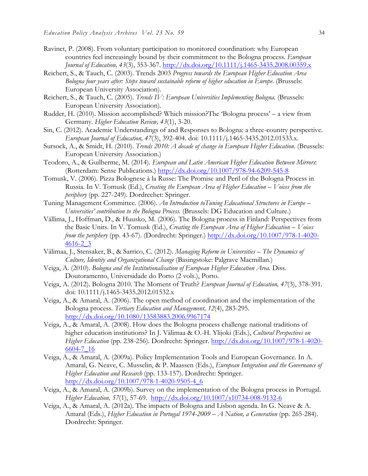- Ravinet, P. (2008). From voluntary participation to monitored coordination: why European countries feel increasingly bound by their commitment to the Bologna process. *European Journal of Education, 43*(3), 353-367. http://dx.doi.org/10.1111/j.1465-3435.2008.00359.x
- Reichert, S., & Tauch, C. (2003). Trends 2003 *Progress towards the European Higher Education Area Bologna four years after: Steps toward sustainable reform of higher education in Europe*. (Brussels: European University Association).
- Reichert, S., & Tauch, C. (2005). *Trends IV: European Universities Implementing Bologna.* (Brussels: European University Association).
- Rudder, H. (2010). Mission accomplished? Which mission?The 'Bologna process' a view from Germany. *Higher Education Review, 43*(1), 3-20.
- Sin, C. (2012). Academic Understandings of and Responses to Bologna: a three-country perspective. *European Journal of Education, 47*(3), 392-404. doi: 10.1111/j.1465-3435.2012.01533.x.
- Sursock, A., & Smidt, H. (2010). *Trends 2010: A decade of change in European Higher Education*. (Brussels: European University Association.)
- Teodoro, A., & Guilherme, M. (2014). *European and Latin American Higher Education Between Mirrors*: (Rotterdam: Sense Publications.) http://dx.doi.org/10.1007/978-94-6209-545-8
- Tomusk, V. (2006). Pizza Bolognese à la Russe: The Promise and Peril of the Bologna Process in Russia. In V. Tomusk (Ed.), *Creating the European Area of Higher Education – Voices from the periphery* (pp. 227-249). Dordrechet: Springer.
- Tuning Management Committee. (2006). *An Introduction toTuning Educational Structures in Europe – Universities' contribution to the Bologna Process.* (Brussels: DG Education and Culture.)
- Vällima, J., Hoffman, D., & Huusko, M. (2006). The Bologna process in Finland: Perspectives from the Basic Units. In V. Tomusk (Ed.), *Creating the European Area of Higher Education – Voices from the periphery* (pp. 43-67). (Dordrecht: Springer.) http://dx.doi.org/10.1007/978-1-4020- 4616-2\_3
- Välimaa, J., Stensaker, B., & Sarrico, C. (2012). *Managing Reform in Universities – The Dynamics of Culture, Identity and Organizational Change* (Basingstoke: Palgrave Macmillan.)
- Veiga, A. (2010). *Bologna and the Institutionalisation of European Higher Education Area.* Diss. Doutoramento, Universidade do Porto (2 vols.), Porto.
- Veiga, A. (2012). Bologna 2010. The Moment of Truth? *European Journal of Education, 47*(3), 378-391. doi: 10.1111/j.1465-3435.2012.01532.x
- Veiga, A., & Amaral, A. (2006). The open method of coordination and the implementation of the Bologna process. *Tertiary Education and Management, 12*(4), 283-295. http://dx.doi.org/10.1080/13583883.2006.9967174
- Veiga, A., & Amaral, A. (2008). How does the Bologna process challenge national traditions of higher education institutions? In J. Välimaa & O.-H. Ylijoki (Eds.), *Cultural Perspectives on Higher Education* (pp. 238-256). Dordrecht: Springer. http://dx.doi.org/10.1007/978-1-4020- 6604-7\_16
- Veiga, A., & Amaral, A. (2009a). Policy Implementation Tools and European Governance. In A. Amaral, G. Neave, C. Musselin, & P. Maassen (Eds.), *European Integration and the Governance of Higher Education and Research* (pp. 133-157). Dordrecht: Springer. http://dx.doi.org/10.1007/978-1-4020-9505-4\_6
- Veiga, A., & Amaral, A. (2009b). Survey on the implementation of the Bologna process in Portugal. *Higher Education, 57*(1), 57-69. http://dx.doi.org/10.1007/s10734-008-9132-6
- Veiga, A., & Amaral, A. (2012a). The impacts of Bologna and Lisbon agenda. In G. Neave & A. Amaral (Eds.), *Higher Education in Portugal 1974-2009 – A Nation, a Generation* (pp. 265-284). Dordrecht: Springer.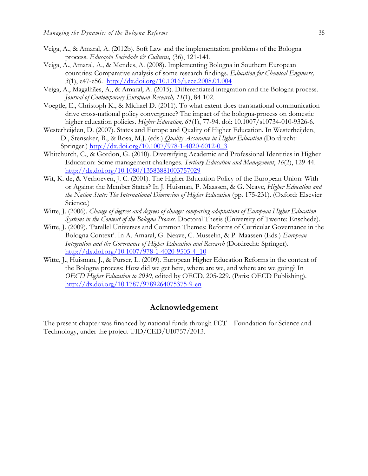- Veiga, A., & Amaral, A. (2012b). Soft Law and the implementation problems of the Bologna process. *Educação Sociedade & Culturas,* (36), 121-141.
- Veiga, A., Amaral, A., & Mendes, A. (2008). Implementing Bologna in Southern European countries: Comparative analysis of some research findings. *Education for Chemical Engineers, 3*(1), e47-e56. http://dx.doi.org/10.1016/j.ece.2008.01.004
- Veiga, A., Magalhães, A., & Amaral, A. (2015). Differentiated integration and the Bologna process. *Journal of Contemporary European Research, 11*(1), 84-102.
- Voegtle, E., Christoph K., & Michael D. (2011). To what extent does transnational communication drive cross-national policy convergence? The impact of the bologna-process on domestic higher education policies. *Higher Education, 61*(1), 77-94. doi: 10.1007/s10734-010-9326-6.
- Westerheijden, D. (2007). States and Europe and Quality of Higher Education. In Westerheijden, D., Stensaker, B., & Rosa, M.J. (eds.) *Quality Assurance in Higher Education* (Dordrecht: Springer.) http://dx.doi.org/10.1007/978-1-4020-6012-0\_3
- Whitchurch, C., & Gordon, G. (2010). Diversifying Academic and Professional Identities in Higher Education: Some management challenges. *Tertiary Education and Management*, *16*(2), 129-44. http://dx.doi.org/10.1080/13583881003757029
- Wit, K. de, & Verhoeven, J. C. (2001). The Higher Education Policy of the European Union: With or Against the Member States? In J. Huisman, P. Maassen, & G. Neave*, Higher Education and the Nation State: The International Dimension of Higher Education* (pp. 175-231). (Oxford: Elsevier Science.)
- Witte, J. (2006). *Change of degrees and degrees of change: comparing adaptations of European Higher Education Systems in the Context of the Bologna Process.* Doctoral Thesis (University of Twente: Enschede).
- Witte, J. (2009). 'Parallel Universes and Common Themes: Reforms of Curricular Governance in the Bologna Context'. In A. Amaral, G. Neave, C. Musselin, & P. Maassen (Eds.) *European Integration and the Governance of Higher Education and Research* (Dordrecht: Springer). http://dx.doi.org/10.1007/978-1-4020-9505-4\_10
- Witte, J., Huisman, J., & Purser, L. (2009). European Higher Education Reforms in the context of the Bologna process: How did we get here, where are we, and where are we going? In *OECD Higher Education to 2030*, edited by OECD, 205-229. (Paris: OECD Publishing). http://dx.doi.org/10.1787/9789264075375-9-en

## **Acknowledgement**

The present chapter was financed by national funds through FCT – Foundation for Science and Technology, under the project UID/CED/UI0757/2013.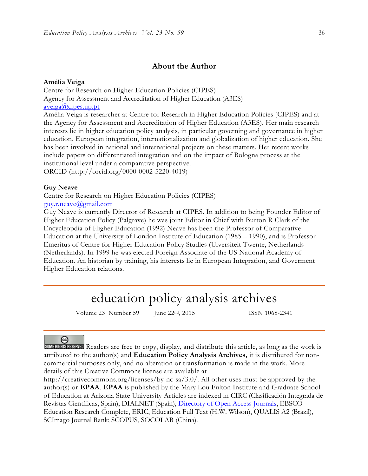## **About the Author**

#### **Amélia Veiga**

Centre for Research on Higher Education Policies (CIPES) Agency for Assessment and Accreditation of Higher Education (A3ES) aveiga@cipes.up.pt

Amélia Veiga is researcher at Centre for Research in Higher Education Policies (CIPES) and at the Agency for Assessment and Accreditation of Higher Education (A3ES). Her main research interests lie in higher education policy analysis, in particular governing and governance in higher education, European integration, internationalization and globalization of higher education. She has been involved in national and international projects on these matters. Her recent works include papers on differentiated integration and on the impact of Bologna process at the institutional level under a comparative perspective.

ORCID (http://orcid.org/0000-0002-5220-4019)

#### **Guy Neave**

Centre for Research on Higher Education Policies (CIPES) guy.r.neave@gmail.com

Guy Neave is currently Director of Research at CIPES. In addition to being Founder Editor of Higher Education Policy (Palgrave) he was joint Editor in Chief with Burton R Clark of the Encycleopdia of Higher Education (1992) Neave has been the Professor of Comparative Education at the University of London Institute of Education (1985 – 1990), and is Professor Emeritus of Centre for Higher Education Policy Studies (Uiversiteit Twente, Netherlands (Netherlands). In 1999 he was elected Foreign Associate of the US National Academy of Education. An historian by training, his interests lie in European Integration, and Goverment Higher Education relations.

# education policy analysis archives

Volume 23 Number 59 June 22<sup>nd</sup>, 2015 ISSN 1068-2341

<sub>(cc)</sub>

Readers are free to copy, display, and distribute this article, as long as the work is attributed to the author(s) and **Education Policy Analysis Archives,** it is distributed for noncommercial purposes only, and no alteration or transformation is made in the work. More details of this Creative Commons license are available at

http://creativecommons.org/licenses/by-nc-sa/3.0/. All other uses must be approved by the author(s) or **EPAA**. **EPAA** is published by the Mary Lou Fulton Institute and Graduate School of Education at Arizona State University Articles are indexed in CIRC (Clasificación Integrada de Revistas Científicas, Spain), DIALNET (Spain), Directory of Open Access Journals, EBSCO Education Research Complete, ERIC, Education Full Text (H.W. Wilson), QUALIS A2 (Brazil), SCImago Journal Rank; SCOPUS, SOCOLAR (China).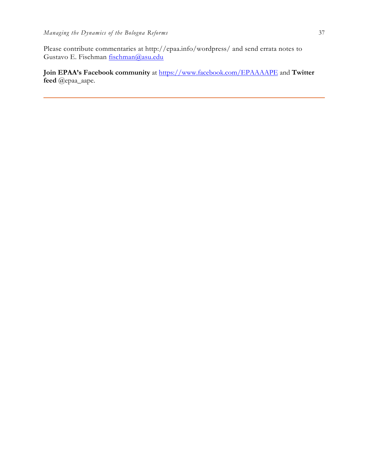Please contribute commentaries at http://epaa.info/wordpress/ and send errata notes to Gustavo E. Fischman fischman@asu.edu

**Join EPAA's Facebook community** at https://www.facebook.com/EPAAAAPE and **Twitter feed** @epaa\_aape.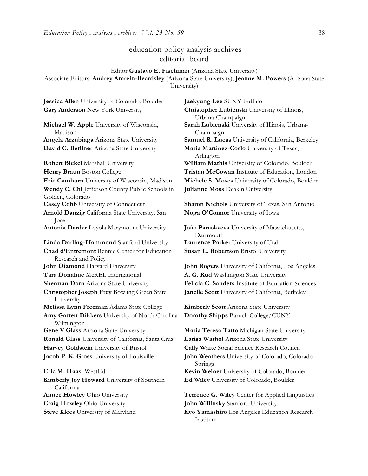## education policy analysis archives editorial board

#### Editor **Gustavo E. Fischman** (Arizona State University)

Associate Editors: **Audrey Amrein-Beardsley** (Arizona State University), **Jeanne M. Powers** (Arizona State University)

**Jessica Allen** University of Colorado, Boulder **Jaekyung Lee** SUNY Buffalo **Gary Anderson** New York University **Christopher Lubienski** University of Illinois, Urbana-Champaign **Michael W. Apple** University of Wisconsin, Madison **Sarah Lubienski** University of Illinois, Urbana-Champaign **Angela Arzubiaga** Arizona State University **Samuel R. Lucas** University of California, Berkeley **David C. Berliner** Arizona State University **Maria Martinez-Coslo** University of Texas, Arlington **Robert Bickel** Marshall University **William Mathis** University of Colorado, Boulder **Henry Braun** Boston College **Tristan McCowan** Institute of Education, London **Eric Camburn** University of Wisconsin, Madison **Michele S. Moses** University of Colorado, Boulder **Wendy C. Chi** Jefferson County Public Schools in Golden, Colorado **Julianne Moss** Deakin University **Casey Cobb** University of Connecticut **Sharon Nichols** University of Texas, San Antonio **Arnold Danzig** California State University, San Jose **Noga O'Connor** University of Iowa **Antonia Darder** Loyola Marymount University **João Paraskveva** University of Massachusetts, Dartmouth **Linda Darling-Hammond** Stanford University **Laurence Parker** University of Utah **Chad d'Entremont** Rennie Center for Education Research and Policy **Susan L. Robertson** Bristol University **John Diamond** Harvard University **John Rogers** University of California, Los Angeles **Tara Donahue** McREL International **A. G. Rud** Washington State University **Sherman Dorn** Arizona State University **Felicia C. Sanders** Institute of Education Sciences **Christopher Joseph Frey** Bowling Green State University **Janelle Scott** University of California, Berkeley **Melissa Lynn Freeman** Adams State College **Kimberly Scott** Arizona State University **Amy Garrett Dikkers** University of North Carolina Wilmington **Dorothy Shipps** Baruch College/CUNY **Gene V Glass** Arizona State University **Maria Teresa Tatto** Michigan State University **Ronald Glass** University of California, Santa Cruz | Larisa Warhol Arizona State University **Harvey Goldstein** University of Bristol **Cally Waite** Social Science Research Council **Jacob P. K. Gross** University of Louisville **John Weathers** University of Colorado, Colorado Springs **Eric M. Haas** WestEd **Kevin Welner** University of Colorado, Boulder **Kimberly Joy Howard** University of Southern California **Ed Wiley** University of Colorado, Boulder **Aimee Howley** Ohio University **Terrence G. Wiley** Center for Applied Linguistics **Craig Howley** Ohio University **John Willinsky** Stanford University **Steve Klees** University of Maryland **Kyo Yamashiro** Los Angeles Education Research

Institute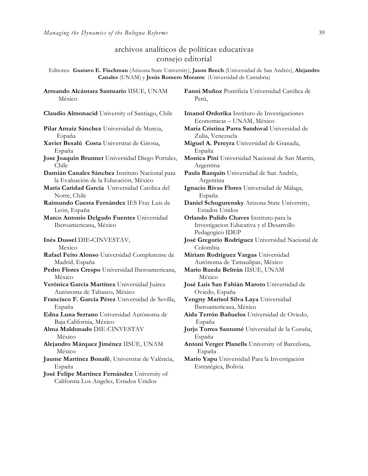**Armando Alcántara Santuario** IISUE, UNAM

## archivos analíticos de políticas educativas consejo editorial

Editores: **Gustavo E. Fischman** (Arizona State University), **Jason Beech** (Universidad de San Andrés), **Alejandro Canales** (UNAM) y **Jesús Romero Morante** (Universidad de Cantabria)

México **Claudio Almonacid** University of Santiago, Chile **Imanol Ordorika** Instituto de Investigaciones **Pilar Arnaiz Sánchez** Universidad de Murcia, España **Xavier Besalú Costa** Universitat de Girona, España **Jose Joaquin Brunner** Universidad Diego Portales, Chile **Damián Canales Sánchez** Instituto Nacional para la Evaluación de la Educación, México **María Caridad García** Universidad Católica del Norte, Chile **Raimundo Cuesta Fernández** IES Fray Luis de León, España **Marco Antonio Delgado Fuentes** Universidad Iberoamericana, México **Inés Dussel** DIE**-**CINVESTAV, Mexico **Rafael Feito Alonso** Universidad Complutense de Madrid. España **Pedro Flores Crespo** Universidad Iberoamericana, México **Verónica García Martínez** Universidad Juárez Autónoma de Tabasco, México **Francisco F. García Pérez** Universidad de Sevilla, España **Edna Luna Serrano** Universidad Autónoma de Baja California, México **Alma Maldonado** DIE-CINVESTAV México **Alejandro Márquez Jiménez** IISUE, UNAM México **Jaume Martínez Bonafé**, Universitat de València, España

**José Felipe Martínez Fernández** University of California Los Angeles, Estados Unidos

**Fanni Muñoz** Pontificia Universidad Católica de Perú,

Economicas – UNAM, México **Maria Cristina Parra Sandoval** Universidad de Zulia, Venezuela **Miguel A. Pereyra** Universidad de Granada, España **Monica Pini** Universidad Nacional de San Martín, Argentina **Paula Razquin** Universidad de San Andrés, Argentina **Ignacio Rivas Flores** Universidad de Málaga, España **Daniel Schugurensky** Arizona State University, Estados Unidos **Orlando Pulido Chaves** Instituto para la Investigacion Educativa y el Desarrollo Pedagogico IDEP **José Gregorio Rodríguez** Universidad Nacional de Colombia **Miriam Rodríguez Vargas** Universidad Autónoma de Tamaulipas, México **Mario Rueda Beltrán** IISUE, UNAM México **José Luis San Fabián Maroto** Universidad de Oviedo, España **Yengny Marisol Silva Laya** Universidad Iberoamericana, México **Aida Terrón Bañuelos** Universidad de Oviedo, España **Jurjo Torres Santomé** Universidad de la Coruña, España **Antoni Verger Planells** University of Barcelona, España **Mario Yapu** Universidad Para la Investigación Estratégica, Bolivia